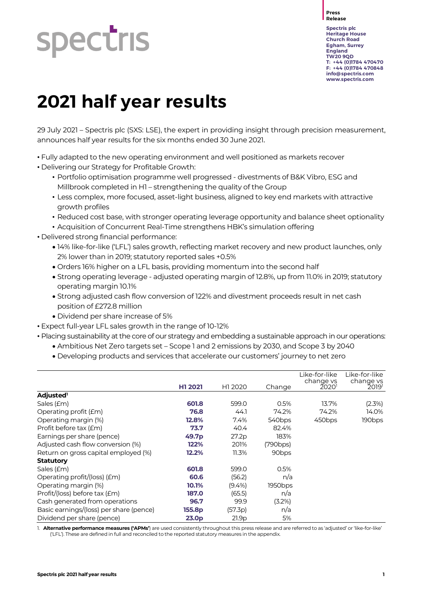# **spectris**

**Press Release**

**Spectris plc Heritage House Church Road Egham, Surrey England TW20 9QD T: +44 (0)1784 470470 F: +44 (0)1784 470848 [info@spectris.com](mailto:info@spectris.com) www.spectris.com**

# **2021 half year results**

29 July 2021 – Spectris plc (SXS: LSE), the expert in providing insight through precision measurement, announces half year results for the six months ended 30 June 2021.

• Fully adapted to the new operating environment and well positioned as markets recover

- Delivering our Strategy for Profitable Growth:
	- Portfolio optimisation programme well progressed divestments of B&K Vibro, ESG and Millbrook completed in H1 – strengthening the quality of the Group
	- Less complex, more focused, asset-light business, aligned to key end markets with attractive growth profiles
	- Reduced cost base, with stronger operating leverage opportunity and balance sheet optionality
	- Acquisition of Concurrent Real-Time strengthens HBK's simulation offering
- Delivered strong financial performance:
	- 14% like-for-like ('LFL') sales growth, reflecting market recovery and new product launches, only 2% lower than in 2019; statutory reported sales +0.5%
	- Orders 16% higher on a LFL basis, providing momentum into the second half
	- Strong operating leverage adjusted operating margin of 12.8%, up from 11.0% in 2019; statutory operating margin 10.1%
	- Strong adjusted cash flow conversion of 122% and divestment proceeds result in net cash position of £272.8 million
	- Dividend per share increase of 5%
- Expect full-year LFL sales growth in the range of 10-12%
- Placing sustainability at the core of our strategy and embedding a sustainable approach in our operations:
	- Ambitious Net Zero targets set Scope 1 and 2 emissions by 2030, and Scope 3 by 2040
	- Developing products and services that accelerate our customers' journey to net zero

|                                         | H1 2021           | H1 2020   | Change             | Like-for-like<br>change vs<br>20201 | Like-for-like<br>change vs<br>2019 <sup>1</sup> |
|-----------------------------------------|-------------------|-----------|--------------------|-------------------------------------|-------------------------------------------------|
| Adjusted <sup>1</sup>                   |                   |           |                    |                                     |                                                 |
| Sales (£m)                              | 601.8             | 599.0     | 0.5%               | 13.7%                               | (2.3%)                                          |
| Operating profit ( <i>Em</i> )          | 76.8              | 44.1      | 74.2%              | 74.2%                               | 14.0%                                           |
| Operating margin (%)                    | 12.8%             | 7.4%      | 540 <sub>bps</sub> | 450 <sub>bps</sub>                  | 190 <sub>bps</sub>                              |
| Profit before tax (£m)                  | 73.7              | 40.4      | 82.4%              |                                     |                                                 |
| Earnings per share (pence)              | 49.7p             | 27.2p     | 183%               |                                     |                                                 |
| Adjusted cash flow conversion (%)       | 122%              | 201%      | (790bps)           |                                     |                                                 |
| Return on gross capital employed (%)    | 12.2%             | 11.3%     | 90 <sub>bps</sub>  |                                     |                                                 |
| <b>Statutory</b>                        |                   |           |                    |                                     |                                                 |
| Sales (£m)                              | 601.8             | 599.0     | 0.5%               |                                     |                                                 |
| Operating profit/(loss) (£m)            | 60.6              | (56.2)    | n/a                |                                     |                                                 |
| Operating margin (%)                    | 10.1%             | $(9.4\%)$ | 1950bps            |                                     |                                                 |
| Profit/(loss) before tax (£m)           | 187.0             | (65.5)    | n/a                |                                     |                                                 |
| Cash generated from operations          | 96.7              | 99.9      | (3.2%)             |                                     |                                                 |
| Basic earnings/(loss) per share (pence) | 155.8p            | (57.3p)   | n/a                |                                     |                                                 |
| Dividend per share (pence)              | 23.0 <sub>p</sub> | 21.9p     | 5%                 |                                     |                                                 |

1. **Alternative performance measures ('APMs'**) are used consistently throughout this press release and are referred to as 'adjusted' or 'like-for-like' ('LFL'). These are defined in full and reconciled to the reported statutory measures in the appendix.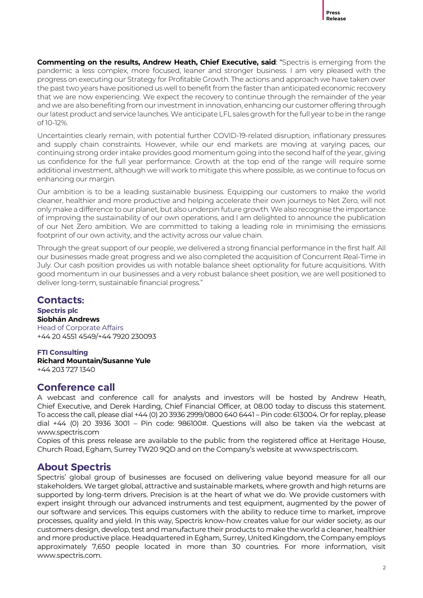

**Commenting on the results, Andrew Heath, Chief Executive, said**: "Spectris is emerging from the pandemic a less complex, more focused, leaner and stronger business. I am very pleased with the progress on executing our Strategy for Profitable Growth. The actions and approach we have taken over the past two years have positioned us well to benefit from the faster than anticipated economic recovery that we are now experiencing. We expect the recovery to continue through the remainder of the year and we are also benefiting from our investment in innovation, enhancing our customer offering through our latest product and service launches. We anticipate LFL sales growth for the full year to be in the range of 10-12%.

Uncertainties clearly remain, with potential further COVID-19-related disruption, inflationary pressures and supply chain constraints. However, while our end markets are moving at varying paces, our continuing strong order intake provides good momentum going into the second half of the year, giving us confidence for the full year performance. Growth at the top end of the range will require some additional investment, although we will work to mitigate this where possible, as we continue to focus on enhancing our margin.

Our ambition is to be a leading sustainable business. Equipping our customers to make the world cleaner, healthier and more productive and helping accelerate their own journeys to Net Zero, will not only make a difference to our planet, but also underpin future growth. We also recognise the importance of improving the sustainability of our own operations, and I am delighted to announce the publication of our Net Zero ambition. We are committed to taking a leading role in minimising the emissions footprint of our own activity, and the activity across our value chain.

Through the great support of our people, we delivered a strong financial performance in the first half. All our businesses made great progress and we also completed the acquisition of Concurrent Real-Time in July. Our cash position provides us with notable balance sheet optionality for future acquisitions. With good momentum in our businesses and a very robust balance sheet position, we are well positioned to deliver long-term, sustainable financial progress."

# **Contacts:**

#### **Spectris plc Siobhán Andrews**

Head of Corporate Affairs +44 20 4551 4549/+44 7920 230093

#### **FTI Consulting**

**Richard Mountain/Susanne Yule** +44 203 727 1340

# **Conference call**

A webcast and conference call for analysts and investors will be hosted by Andrew Heath, Chief Executive, and Derek Harding, Chief Financial Officer, at 08.00 today to discuss this statement. To access the call, please dial +44 (0) 20 3936 2999/0800 640 6441 – Pin code: 613004. Or for replay, please dial +44 (0) 20 3936 3001 – Pin code: 986100#. Questions will also be taken via the webcast at www.spectris.com

Copies of this press release are available to the public from the registered office at Heritage House, Church Road, Egham, Surrey TW20 9QD and on the Company's website at www.spectris.com.

# **About Spectris**

Spectris' global group of businesses are focused on delivering value beyond measure for all our stakeholders. We target global, attractive and sustainable markets, where growth and high returns are supported by long-term drivers. Precision is at the heart of what we do. We provide customers with expert insight through our advanced instruments and test equipment, augmented by the power of our software and services. This equips customers with the ability to reduce time to market, improve processes, quality and yield. In this way, Spectris know-how creates value for our wider society, as our customers design, develop, test and manufacture their products to make the world a cleaner, healthier and more productive place. Headquartered in Egham, Surrey, United Kingdom, the Company employs approximately 7,650 people located in more than 30 countries. For more information, visit www.spectris.com.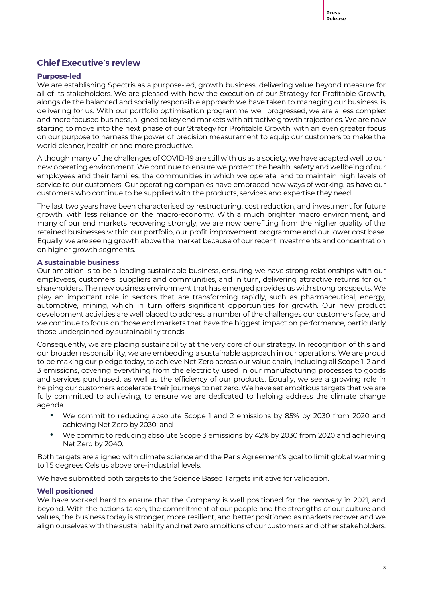#### **Chief Executive's review**

#### **Purpose-led**

We are establishing Spectris as a purpose-led, growth business, delivering value beyond measure for all of its stakeholders. We are pleased with how the execution of our Strategy for Profitable Growth, alongside the balanced and socially responsible approach we have taken to managing our business, is delivering for us. With our portfolio optimisation programme well progressed, we are a less complex and more focused business, aligned to key end markets with attractivegrowth trajectories. We are now starting to move into the next phase of our Strategy for Profitable Growth, with an even greater focus on our purpose to harness the power of precision measurement to equip our customers to make the world cleaner, healthier and more productive.

Although many of the challenges of COVID-19 are still with us as a society, we have adapted well to our new operating environment. We continue to ensure we protect the health, safety and wellbeing of our employees and their families, the communities in which we operate, and to maintain high levels of service to our customers. Our operating companies have embraced new ways of working, as have our customers who continue to be supplied with the products, services and expertise they need.

The last two years have been characterised by restructuring, cost reduction, and investment for future growth, with less reliance on the macro-economy. With a much brighter macro environment, and many of our end markets recovering strongly, we are now benefiting from the higher quality of the retained businesses within our portfolio, our profit improvement programme and our lower cost base. Equally, we are seeing growth above the market because of our recent investments and concentration on higher growth segments.

#### **A sustainable business**

Our ambition is to be a leading sustainable business, ensuring we have strong relationships with our employees, customers, suppliers and communities, and in turn, delivering attractive returns for our shareholders. The new business environment that has emerged provides us with strong prospects. We play an important role in sectors that are transforming rapidly, such as pharmaceutical, energy, automotive, mining, which in turn offers significant opportunities for growth. Our new product development activities are well placed to address a number of the challenges our customers face, and we continue to focus on those end markets that have the biggest impact on performance, particularly those underpinned by sustainability trends.

Consequently, we are placing sustainability at the very core of our strategy. In recognition of this and our broader responsibility, we are embedding a sustainable approach in our operations. We are proud to be making our pledge today, to achieve Net Zero across our value chain, including all Scope 1, 2 and 3 emissions, covering everything from the electricity used in our manufacturing processes to goods and services purchased, as well as the efficiency of our products. Equally, we see a growing role in helping our customers accelerate their journeys to net zero. We have set ambitious targets that we are fully committed to achieving, to ensure we are dedicated to helping address the climate change agenda.

- We commit to reducing absolute Scope 1 and 2 emissions by 85% by 2030 from 2020 and achieving Net Zero by 2030; and
- We commit to reducing absolute Scope 3 emissions by 42% by 2030 from 2020 and achieving Net Zero by 2040.

Both targets are aligned with climate science and the Paris Agreement's goal to limit global warming to 1.5 degrees Celsius above pre-industrial levels.

We have submitted both targets to the Science Based Targets initiative for validation.

#### **Well positioned**

We have worked hard to ensure that the Company is well positioned for the recovery in 2021, and beyond. With the actions taken, the commitment of our people and the strengths of our culture and values, the business today is stronger, more resilient, and better positioned as markets recover and we align ourselves with the sustainability and net zero ambitions of our customers and other stakeholders.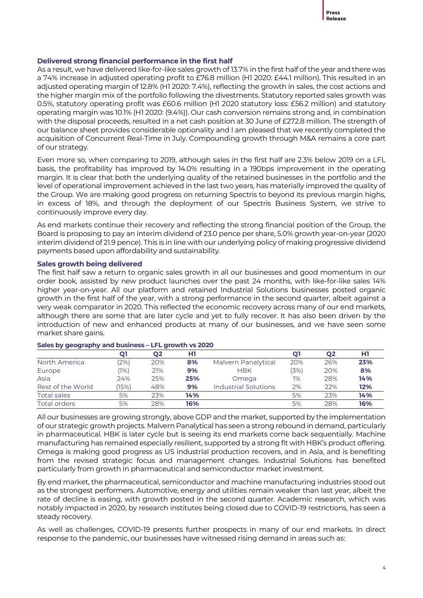#### **Delivered strong financial performance in the first half**

As a result, we have delivered like-for-like sales growth of 13.7% in the first half of the year and there was a 74% increase in adjusted operating profit to £76.8 million (H1 2020: £44.1 million). This resulted in an adjusted operating margin of 12.8% (H1 2020: 7.4%), reflecting the growth in sales, the cost actions and the higher margin mix of the portfolio following the divestments. Statutory reported sales growth was 0.5%, statutory operating profit was £60.6 million (H1 2020 statutory loss: £56.2 million) and statutory operating margin was 10.1% (H1 2020: (9.4%)). Our cash conversion remains strong and, in combination with the disposal proceeds, resulted in a net cash position at 30 June of £272.8 million. The strength of our balance sheet provides considerable optionality and I am pleased that we recently completed the acquisition of Concurrent Real-Time in July. Compounding growth through M&A remains a core part of our strategy.

Even more so, when comparing to 2019, although sales in the first half are 2.3% below 2019 on a LFL basis, the profitability has improved by 14.0% resulting in a 190bps improvement in the operating margin. It is clear that both the underlying quality of the retained businesses in the portfolio and the level of operational improvement achieved in the last two years, has materially improved the quality of the Group. We are making good progress on returning Spectris to beyond its previous margin highs, in excess of 18%, and through the deployment of our Spectris Business System, we strive to continuously improve every day.

As end markets continue their recovery and reflecting the strong financial position of the Group, the Board is proposing to pay an interim dividend of 23.0 pence per share, 5.0% growth year-on-year (2020 interim dividend of 21.9 pence). This is in line with our underlying policy of making progressive dividend payments based upon affordability and sustainability.

#### **Sales growth being delivered**

The first half saw a return to organic sales growth in all our businesses and good momentum in our order book, assisted by new product launches over the past 24 months, with like-for-like sales 14% higher year-on-year. All our platform and retained Industrial Solutions businesses posted organic growth in the first half of the year, with a strong performance in the second quarter, albeit against a very weak comparator in 2020. This reflected the economic recovery across many of our end markets, although there are some that are later cycle and yet to fully recover. It has also been driven by the introduction of new and enhanced products at many of our businesses, and we have seen some market share gains.

|                    | 01     | Q2  | нı  |                             |      | Q2  | H1  |
|--------------------|--------|-----|-----|-----------------------------|------|-----|-----|
| North America      | $2\%)$ | 20% | 8%  | Malvern Panalytical         | 20%  | 26% | 23% |
| Europe             | (1%    | 21% | 9%  | <b>HBK</b>                  | (3%) | 20% | 8%  |
| Asia               | 24%    | 25% | 25% | Omega                       | 1%   | 28% | 14% |
| Rest of the World  | (15%   | 48% | 9%  | <b>Industrial Solutions</b> | 2%   | 22% | 12% |
| <b>Total sales</b> | 5%     | 23% | 14% |                             | 5%   | 23% | 14% |
| Total orders       | 5%     | 28% | 16% |                             | 5%   | 28% | 16% |

#### **Sales by geography and business – LFL growth vs 2020**

All our businesses are growing strongly, above GDP and the market, supported by the implementation of our strategic growth projects. Malvern Panalytical has seen a strong rebound in demand, particularly in pharmaceutical. HBK is later cycle but is seeing its end markets come back sequentially. Machine manufacturing has remained especially resilient, supported by a strong fit with HBK's product offering. Omega is making good progress as US industrial production recovers, and in Asia, and is benefiting from the revised strategic focus and management changes. Industrial Solutions has benefited particularly from growth in pharmaceutical and semiconductor market investment.

By end market, the pharmaceutical, semiconductor and machine manufacturing industries stood out as the strongest performers. Automotive, energy and utilities remain weaker than last year, albeit the rate of decline is easing, with growth posted in the second quarter. Academic research, which was notably impacted in 2020, by research institutes being closed due to COVID-19 restrictions, has seen a steady recovery.

As well as challenges, COVID-19 presents further prospects in many of our end markets. In direct response to the pandemic, our businesses have witnessed rising demand in areas such as: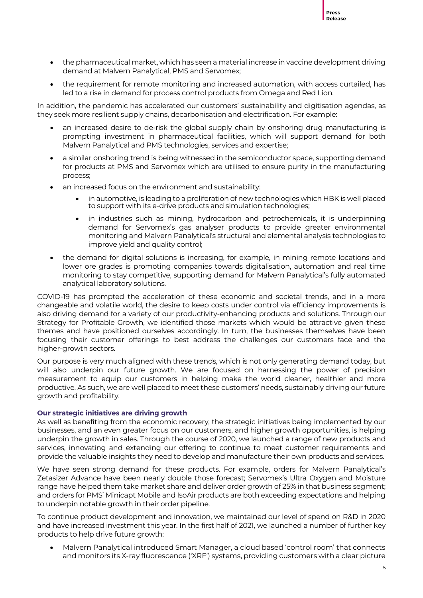

- the pharmaceutical market, which has seen a material increase in vaccine development driving demand at Malvern Panalytical, PMS and Servomex;
- the requirement for remote monitoring and increased automation, with access curtailed, has led to a rise in demand for process control products from Omega and Red Lion.

In addition, the pandemic has accelerated our customers' sustainability and digitisation agendas, as they seek more resilient supply chains, decarbonisation and electrification. For example:

- an increased desire to de-risk the global supply chain by onshoring drug manufacturing is prompting investment in pharmaceutical facilities, which will support demand for both Malvern Panalytical and PMS technologies, services and expertise;
- a similar onshoring trend is being witnessed in the semiconductor space, supporting demand for products at PMS and Servomex which are utilised to ensure purity in the manufacturing process;
- an increased focus on the environment and sustainability:
	- in automotive, is leading to a proliferation of new technologies which HBK is well placed to support with its e-drive products and simulation technologies;
	- in industries such as mining, hydrocarbon and petrochemicals, it is underpinning demand for Servomex's gas analyser products to provide greater environmental monitoring and Malvern Panalytical's structural and elemental analysis technologies to improve yield and quality control;
- the demand for digital solutions is increasing, for example, in mining remote locations and lower ore grades is promoting companies towards digitalisation, automation and real time monitoring to stay competitive, supporting demand for Malvern Panalytical's fully automated analytical laboratory solutions.

COVID-19 has prompted the acceleration of these economic and societal trends, and in a more changeable and volatile world, the desire to keep costs under control via efficiency improvements is also driving demand for a variety of our productivity-enhancing products and solutions. Through our Strategy for Profitable Growth, we identified those markets which would be attractive given these themes and have positioned ourselves accordingly. In turn, the businesses themselves have been focusing their customer offerings to best address the challenges our customers face and the higher-growth sectors.

Our purpose is very much aligned with these trends, which is not only generating demand today, but will also underpin our future growth. We are focused on harnessing the power of precision measurement to equip our customers in helping make the world cleaner, healthier and more productive. As such, we are well placed to meet these customers' needs, sustainably driving our future growth and profitability.

#### **Our strategic initiatives are driving growth**

As well as benefiting from the economic recovery, the strategic initiatives being implemented by our businesses, and an even greater focus on our customers, and higher growth opportunities, is helping underpin the growth in sales. Through the course of 2020, we launched a range of new products and services, innovating and extending our offering to continue to meet customer requirements and provide the valuable insights they need to develop and manufacture their own products and services.

We have seen strong demand for these products. For example, orders for Malvern Panalytical's Zetasizer Advance have been nearly double those forecast; Servomex's Ultra Oxygen and Moisture range have helped them take market share and deliver order growth of 25% in that business segment; and orders for PMS' Minicapt Mobile and IsoAir products are both exceeding expectations and helping to underpin notable growth in their order pipeline.

To continue product development and innovation, we maintained our level of spend on R&D in 2020 and have increased investment this year. In the first half of 2021, we launched a number of further key products to help drive future growth:

• Malvern Panalytical introduced Smart Manager, a cloud based 'control room' that connects and monitors its X-ray fluorescence ('XRF') systems, providing customers with a clear picture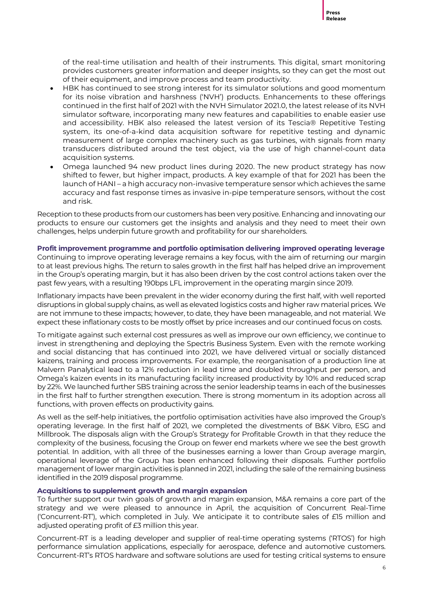of the real-time utilisation and health of their instruments. This digital, smart monitoring provides customers greater information and deeper insights, so they can get the most out of their equipment, and improve process and team productivity.

- HBK has continued to see strong interest for its simulator solutions and good momentum for its noise vibration and harshness ('NVH') products. Enhancements to these offerings continued in the first half of 2021 with the NVH Simulator 2021.0, the latest release of its NVH simulator software, incorporating many new features and capabilities to enable easier use and accessibility. HBK also released the latest version of its Tescia® Repetitive Testing system, its one-of-a-kind data acquisition software for repetitive testing and dynamic measurement of large complex machinery such as gas turbines, with signals from many transducers distributed around the test object, via the use of high channel-count data acquisition systems.
- Omega launched 94 new product lines during 2020. The new product strategy has now shifted to fewer, but higher impact, products. A key example of that for 2021 has been the launch of HANI – a high accuracy non-invasive temperature sensor which achieves the same accuracy and fast response times as invasive in-pipe temperature sensors, without the cost and risk.

Reception to these products from our customers has been very positive. Enhancing and innovating our products to ensure our customers get the insights and analysis and they need to meet their own challenges, helps underpin future growth and profitability for our shareholders.

**Profit improvement programme and portfolio optimisation delivering improved operating leverage** Continuing to improve operating leverage remains a key focus, with the aim of returning our margin to at least previous highs. The return to sales growth in the first half has helped drive an improvement in the Group's operating margin, but it has also been driven by the cost control actions taken over the past few years, with a resulting 190bps LFL improvement in the operating margin since 2019.

Inflationary impacts have been prevalent in the wider economy during the first half, with well reported disruptions in global supply chains, as well as elevated logistics costs and higher raw material prices. We are not immune to these impacts; however, to date, they have been manageable, and not material. We expect these inflationary costs to be mostly offset by price increases and our continued focus on costs.

To mitigate against such external cost pressures as well as improve our own efficiency, we continue to invest in strengthening and deploying the Spectris Business System. Even with the remote working and social distancing that has continued into 2021, we have delivered virtual or socially distanced kaizens, training and process improvements. For example, the reorganisation of a production line at Malvern Panalytical lead to a 12% reduction in lead time and doubled throughput per person, and Omega's kaizen events in its manufacturing facility increased productivity by 10% and reduced scrap by 22%. We launched further SBS training across the senior leadership teams in each of the businesses in the first half to further strengthen execution. There is strong momentum in its adoption across all functions, with proven effects on productivity gains.

As well as the self-help initiatives, the portfolio optimisation activities have also improved the Group's operating leverage. In the first half of 2021, we completed the divestments of B&K Vibro, ESG and Millbrook. The disposals align with the Group's Strategy for Profitable Growth in that they reduce the complexity of the business, focusing the Group on fewer end markets where we see the best growth potential. In addition, with all three of the businesses earning a lower than Group average margin, operational leverage of the Group has been enhanced following their disposals. Further portfolio management of lower margin activities is planned in 2021, including the sale of the remaining business identified in the 2019 disposal programme.

#### **Acquisitions to supplement growth and margin expansion**

To further support our twin goals of growth and margin expansion, M&A remains a core part of the strategy and we were pleased to announce in April, the acquisition of Concurrent Real-Time ('Concurrent-RT'), which completed in July. We anticipate it to contribute sales of £15 million and adjusted operating profit of £3 million this year.

Concurrent-RT is a leading developer and supplier of real-time operating systems ('RTOS') for high performance simulation applications, especially for aerospace, defence and automotive customers. Concurrent-RT's RTOS hardware and software solutions are used for testing critical systems to ensure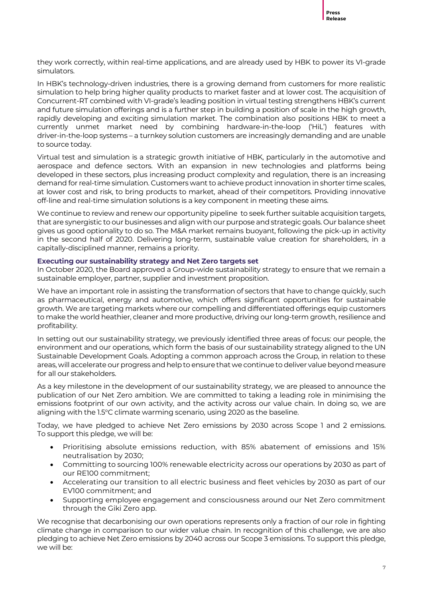they work correctly, within real-time applications, and are already used by HBK to power its VI-grade simulators.

In HBK's technology-driven industries, there is a growing demand from customers for more realistic simulation to help bring higher quality products to market faster and at lower cost. The acquisition of Concurrent-RT combined with VI-grade's leading position in virtual testing strengthens HBK's current and future simulation offerings and is a further step in building a position of scale in the high growth, rapidly developing and exciting simulation market. The combination also positions HBK to meet a currently unmet market need by combining hardware-in-the-loop ('HiL') features with driver-in-the-loop systems – a turnkey solution customers are increasingly demanding and are unable to source today.

Virtual test and simulation is a strategic growth initiative of HBK, particularly in the automotive and aerospace and defence sectors. With an expansion in new technologies and platforms being developed in these sectors, plus increasing product complexity and regulation, there is an increasing demand for real-time simulation. Customers want to achieve product innovation in shorter time scales, at lower cost and risk, to bring products to market, ahead of their competitors. Providing innovative off-line and real-time simulation solutions is a key component in meeting these aims.

We continue to review and renew our opportunity pipeline to seek further suitable acquisition targets, that are synergistic to our businesses and align with our purpose and strategic goals. Our balance sheet gives us good optionality to do so. The M&A market remains buoyant, following the pick-up in activity in the second half of 2020. Delivering long-term, sustainable value creation for shareholders, in a capitally-disciplined manner, remains a priority.

#### **Executing our sustainability strategy and Net Zero targets set**

In October 2020, the Board approved a Group-wide sustainability strategy to ensure that we remain a sustainable employer, partner, supplier and investment proposition.

We have an important role in assisting the transformation of sectors that have to change quickly, such as pharmaceutical, energy and automotive, which offers significant opportunities for sustainable growth. We are targeting markets where our compelling and differentiated offerings equip customers to make the world heathier, cleaner and more productive, driving our long-term growth, resilience and profitability.

In setting out our sustainability strategy, we previously identified three areas of focus: our people, the environment and our operations, which form the basis of our sustainability strategy aligned to the UN Sustainable Development Goals. Adopting a common approach across the Group, in relation to these areas, will accelerate our progress and help to ensure that we continue to deliver value beyond measure for all our stakeholders.

As a key milestone in the development of our sustainability strategy, we are pleased to announce the publication of our Net Zero ambition. We are committed to taking a leading role in minimising the emissions footprint of our own activity, and the activity across our value chain. In doing so, we are aligning with the 1.5°C climate warming scenario, using 2020 as the baseline.

Today, we have pledged to achieve Net Zero emissions by 2030 across Scope 1 and 2 emissions. To support this pledge, we will be:

- Prioritising absolute emissions reduction, with 85% abatement of emissions and 15% neutralisation by 2030;
- Committing to sourcing 100% renewable electricity across our operations by 2030 as part of our RE100 commitment;
- Accelerating our transition to all electric business and fleet vehicles by 2030 as part of our EV100 commitment; and
- Supporting employee engagement and consciousness around our Net Zero commitment through the Giki Zero app.

We recognise that decarbonising our own operations represents only a fraction of our role in fighting climate change in comparison to our wider value chain. In recognition of this challenge, we are also pledging to achieve Net Zero emissions by 2040 across our Scope 3 emissions. To support this pledge, we will be: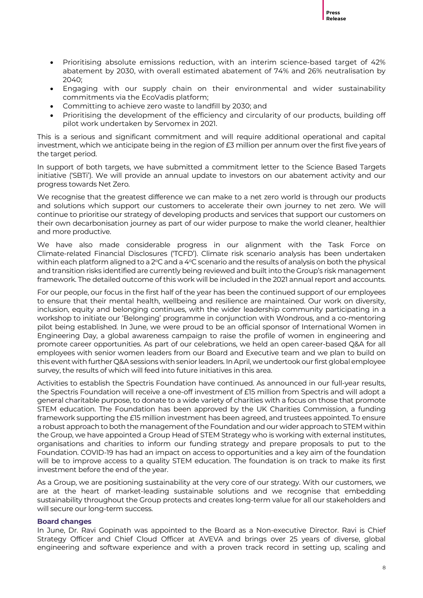

- Prioritising absolute emissions reduction, with an interim science-based target of 42% abatement by 2030, with overall estimated abatement of 74% and 26% neutralisation by 2040;
- Engaging with our supply chain on their environmental and wider sustainability commitments via the EcoVadis platform;
- Committing to achieve zero waste to landfill by 2030; and
- Prioritising the development of the efficiency and circularity of our products, building off pilot work undertaken by Servomex in 2021.

This is a serious and significant commitment and will require additional operational and capital investment, which we anticipate being in the region of £3 million per annum over the first five years of the target period.

In support of both targets, we have submitted a commitment letter to the Science Based Targets initiative ('SBTi'). We will provide an annual update to investors on our abatement activity and our progress towards Net Zero.

We recognise that the greatest difference we can make to a net zero world is through our products and solutions which support our customers to accelerate their own journey to net zero. We will continue to prioritise our strategy of developing products and services that support our customers on their own decarbonisation journey as part of our wider purpose to make the world cleaner, healthier and more productive.

We have also made considerable progress in our alignment with the Task Force on Climate-related Financial Disclosures ('TCFD'). Climate risk scenario analysis has been undertaken within each platform aligned to a  $2^{\circ}$ C and a  $4^{\circ}$ C scenario and the results of analysis on both the physical and transition risks identified are currently being reviewed and built into the Group's risk management framework. The detailed outcome of this work will be included in the 2021 annual report and accounts.

For our people, our focus in the first half of the year has been the continued support of our employees to ensure that their mental health, wellbeing and resilience are maintained. Our work on diversity, inclusion, equity and belonging continues, with the wider leadership community participating in a workshop to initiate our 'Belonging' programme in conjunction with Wondrous, and a co-mentoring pilot being established. In June, we were proud to be an official sponsor of International Women in Engineering Day, a global awareness campaign to raise the profile of women in engineering and promote career opportunities. As part of our celebrations, we held an open career-based Q&A for all employees with senior women leaders from our Board and Executive team and we plan to build on this event with further Q&A sessions with senior leaders. In April, we undertook our first global employee survey, the results of which will feed into future initiatives in this area.

Activities to establish the Spectris Foundation have continued. As announced in our full-year results, the Spectris Foundation will receive a one-off investment of £15 million from Spectris and will adopt a general charitable purpose, to donate to a wide variety of charities with a focus on those that promote STEM education. The Foundation has been approved by the UK Charities Commission, a funding framework supporting the £15 million investment has been agreed, and trustees appointed. To ensure a robust approach to both the management of the Foundation and our wider approach to STEM within the Group, we have appointed a Group Head of STEM Strategy who is working with external institutes, organisations and charities to inform our funding strategy and prepare proposals to put to the Foundation. COVID-19 has had an impact on access to opportunities and a key aim of the foundation will be to improve access to a quality STEM education. The foundation is on track to make its first investment before the end of the year.

As a Group, we are positioning sustainability at the very core of our strategy. With our customers, we are at the heart of market-leading sustainable solutions and we recognise that embedding sustainability throughout the Group protects and creates long-term value for all our stakeholders and will secure our long-term success.

#### **Board changes**

In June, Dr. Ravi Gopinath was appointed to the Board as a Non-executive Director. Ravi is Chief Strategy Officer and Chief Cloud Officer at AVEVA and brings over 25 years of diverse, global engineering and software experience and with a proven track record in setting up, scaling and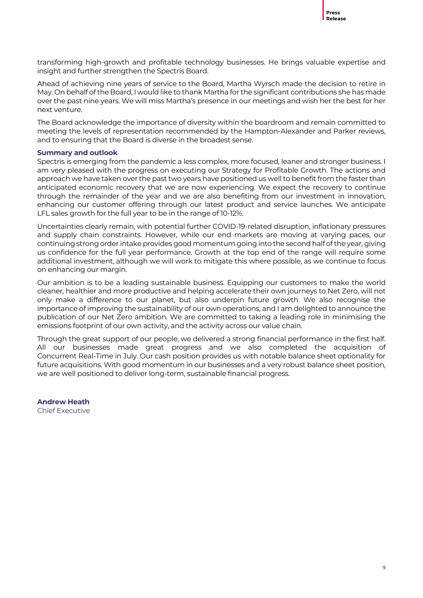transforming high-growth and profitable technology businesses. He brings valuable expertise and insight and further strengthen the Spectris Board.

Ahead of achieving nine years of service to the Board, Martha Wyrsch made the decision to retire in May. On behalf of the Board, I would like to thank Martha for the significant contributions she has made over the past nine years. We will miss Martha's presence in our meetings and wish her the best for her next venture.

The Board acknowledge the importance of diversity within the boardroom and remain committed to meeting the levels of representation recommended by the Hampton-Alexander and Parker reviews, and to ensuring that the Board is diverse in the broadest sense.

#### **Summary and outlook**

Spectris is emerging from the pandemic a less complex, more focused, leaner and stronger business. I am very pleased with the progress on executing our Strategy for Profitable Growth. The actions and approach we have taken over the past two years have positioned us well to benefit from the faster than anticipated economic recovery that we are now experiencing. We expect the recovery to continue through the remainder of the year and we are also benefiting from our investment in innovation, enhancing our customer offering through our latest product and service launches. We anticipate LFL sales growth for the full year to be in the range of 10-12%.

Uncertainties clearly remain, with potential further COVID-19-related disruption, inflationary pressures and supply chain constraints. However, while our end markets are moving at varying paces, our continuing strong order intake provides good momentum going into the second half of the year, giving us confidence for the full year performance. Growth at the top end of the range will require some additional investment, although we will work to mitigate this where possible, as we continue to focus on enhancing our margin.

Our ambition is to be a leading sustainable business. Equipping our customers to make the world cleaner, healthier and more productive and helping accelerate their own journeys to Net Zero, will not only make a difference to our planet, but also underpin future growth. We also recognise the importance of improving the sustainability of our own operations, and I am delighted to announce the publication of our Net Zero ambition. We are committed to taking a leading role in minimising the emissions footprint of our own activity, and the activity across our value chain.

Through the great support of our people, we delivered a strong financial performance in the first half. All our businesses made great progress and we also completed the acquisition of Concurrent Real-Time in July. Our cash position provides us with notable balance sheet optionality for future acquisitions. With good momentum in our businesses and a very robust balance sheet position, we are well positioned to deliver long-term, sustainable financial progress.

**Andrew Heath** Chief Executive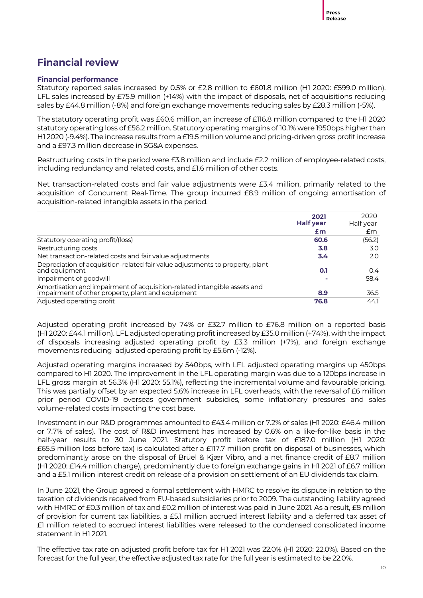# **Financial review**

#### **Financial performance**

Statutory reported sales increased by 0.5% or £2.8 million to £601.8 million (H1 2020: £599.0 million), LFL sales increased by £75.9 million (+14%) with the impact of disposals, net of acquisitions reducing sales by £44.8 million (-8%) and foreign exchange movements reducing sales by £28.3 million (-5%).

The statutory operating profit was £60.6 million, an increase of £116.8 million compared to the H1 2020 statutory operating loss of £56.2 million. Statutory operating margins of 10.1% were 1950bps higher than H1 2020 (-9.4%). The increase results from a £19.5 million volume and pricing-driven gross profit increase and a £97.3 million decrease in SG&A expenses.

Restructuring costs in the period were £3.8 million and include £2.2 million of employee-related costs, including redundancy and related costs, and £1.6 million of other costs.

Net transaction-related costs and fair value adjustments were £3.4 million, primarily related to the acquisition of Concurrent Real-Time. The group incurred £8.9 million of ongoing amortisation of acquisition-related intangible assets in the period.

|                                                                                                                               | 2021<br><b>Half year</b> | 2020<br>Half year |
|-------------------------------------------------------------------------------------------------------------------------------|--------------------------|-------------------|
|                                                                                                                               | £m                       | £m                |
| Statutory operating profit/(loss)                                                                                             | 60.6                     | (56.2)            |
| Restructuring costs                                                                                                           | 3.8                      | 3.0               |
| Net transaction-related costs and fair value adjustments                                                                      | 3.4                      | 2.0               |
| Depreciation of acquisition-related fair value adjustments to property, plant<br>and equipment                                | 0.1                      | $0.4^{\circ}$     |
| Impairment of goodwill                                                                                                        |                          | 58.4              |
| Amortisation and impairment of acquisition-related intangible assets and<br>impairment of other property, plant and equipment | 8.9                      | 36.5              |
| Adjusted operating profit                                                                                                     | 76.8                     | 44.1              |

Adjusted operating profit increased by 74% or £32.7 million to £76.8 million on a reported basis (H1 2020: £44.1 million). LFL adjusted operating profit increased by £35.0 million (+74%), with the impact of disposals increasing adjusted operating profit by £3.3 million (+7%), and foreign exchange movements reducing adjusted operating profit by £5.6m (-12%).

Adjusted operating margins increased by 540bps, with LFL adjusted operating margins up 450bps compared to H1 2020. The improvement in the LFL operating margin was due to a 120bps increase in LFL gross margin at 56.3% (H1 2020: 55.1%), reflecting the incremental volume and favourable pricing. This was partially offset by an expected 5.6% increase in LFL overheads, with the reversal of £6 million prior period COVID-19 overseas government subsidies, some inflationary pressures and sales volume-related costs impacting the cost base.

Investment in our R&D programmes amounted to £43.4 million or 7.2% of sales (H1 2020: £46.4 million or 7.7% of sales). The cost of R&D investment has increased by 0.6% on a like-for-like basis in the half-year results to 30 June 2021. Statutory profit before tax of £187.0 million (H1 2020: £65.5 million loss before tax) is calculated after a £117.7 million profit on disposal of businesses, which predominantly arose on the disposal of Brüel & Kjær Vibro, and a net finance credit of £8.7 million (H1 2020: £14.4 million charge), predominantly due to foreign exchange gains in H1 2021 of £6.7 million and a £5.1 million interest credit on release of a provision on settlement of an EU dividends tax claim.

In June 2021, the Group agreed a formal settlement with HMRC to resolve its dispute in relation to the taxation of dividends received from EU-based subsidiaries prior to 2009. The outstanding liability agreed with HMRC of £0.3 million of tax and £0.2 million of interest was paid in June 2021. As a result, £8 million of provision for current tax liabilities, a £5.1 million accrued interest liability and a deferred tax asset of £1 million related to accrued interest liabilities were released to the condensed consolidated income statement in H1 2021.

The effective tax rate on adjusted profit before tax for H1 2021 was 22.0% (H1 2020: 22.0%). Based on the forecast for the full year, the effective adjusted tax rate for the full year is estimated to be 22.0%.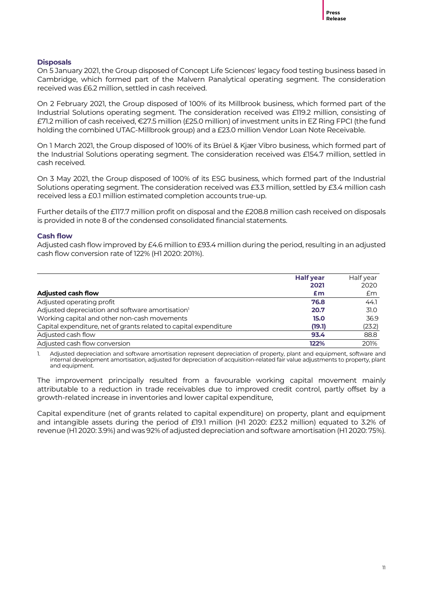#### **Disposals**

On 5 January 2021, the Group disposed of Concept Life Sciences' legacy food testing business based in Cambridge, which formed part of the Malvern Panalytical operating segment. The consideration received was £6.2 million, settled in cash received.

On 2 February 2021, the Group disposed of 100% of its Millbrook business, which formed part of the Industrial Solutions operating segment. The consideration received was £119.2 million, consisting of £71.2 million of cash received, €27.5 million (£25.0 million) of investment units in EZ Ring FPCI (the fund holding the combined UTAC-Millbrook group) and a £23.0 million Vendor Loan Note Receivable.

On 1 March 2021, the Group disposed of 100% of its Brüel & Kjær Vibro business, which formed part of the Industrial Solutions operating segment. The consideration received was £154.7 million, settled in cash received.

On 3 May 2021, the Group disposed of 100% of its ESG business, which formed part of the Industrial Solutions operating segment. The consideration received was £3.3 million, settled by £3.4 million cash received less a £0.1 million estimated completion accounts true-up.

Further details of the £117.7 million profit on disposal and the £208.8 million cash received on disposals is provided in note 8 of the condensed consolidated financial statements.

#### **Cash flow**

Adjusted cash flow improved by £4.6 million to £93.4 million during the period, resulting in an adjusted cash flow conversion rate of 122% (H1 2020: 201%).

|                                                                   | <b>Half year</b> | Half year |
|-------------------------------------------------------------------|------------------|-----------|
|                                                                   | 2021             | 2020      |
| <b>Adjusted cash flow</b>                                         | £m               | £m        |
| Adjusted operating profit                                         | 76.8             | 44.1      |
| Adjusted depreciation and software amortisation <sup>1</sup>      | 20.7             | 31.0      |
| Working capital and other non-cash movements                      | 15.0             | 36.9      |
| Capital expenditure, net of grants related to capital expenditure | (19.1)           | (23.2)    |
| Adjusted cash flow                                                | 93.4             | 88.8      |
| Adjusted cash flow conversion                                     | 122%             | 201%      |

1. Adjusted depreciation and software amortisation represent depreciation of property, plant and equipment, software and internal development amortisation, adjusted for depreciation of acquisition-related fair value adjustments to property, plant and equipment.

The improvement principally resulted from a favourable working capital movement mainly attributable to a reduction in trade receivables due to improved credit control, partly offset by a growth-related increase in inventories and lower capital expenditure,

Capital expenditure (net of grants related to capital expenditure) on property, plant and equipment and intangible assets during the period of £19.1 million (H1 2020: £23.2 million) equated to 3.2% of revenue (H1 2020: 3.9%) and was 92% of adjusted depreciation and software amortisation (H1 2020: 75%).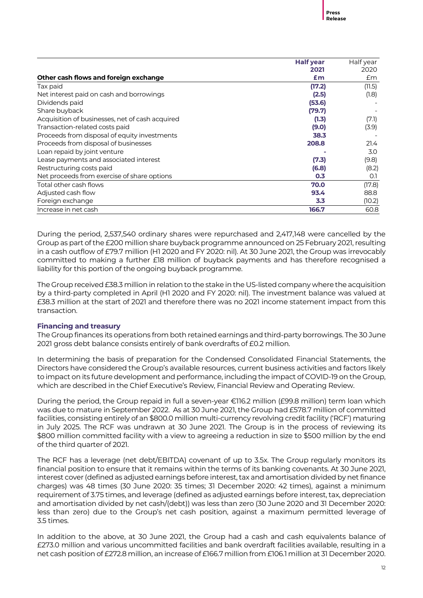|                                                 | <b>Half year</b> | Half year |
|-------------------------------------------------|------------------|-----------|
|                                                 | 2021             | 2020      |
| Other cash flows and foreign exchange           | Em               | £m        |
| Tax paid                                        | (17.2)           | (11.5)    |
| Net interest paid on cash and borrowings        | (2.5)            | (1.8)     |
| Dividends paid                                  | (53.6)           |           |
| Share buyback                                   | (79.7)           |           |
| Acquisition of businesses, net of cash acquired | (1.3)            | (7.1)     |
| Transaction-related costs paid                  | (9.0)            | (3.9)     |
| Proceeds from disposal of equity investments    | 38.3             |           |
| Proceeds from disposal of businesses            | 208.8            | 21.4      |
| Loan repaid by joint venture                    |                  | 3.0       |
| Lease payments and associated interest          | (7.3)            | (9.8)     |
| Restructuring costs paid                        | (6.8)            | (8.2)     |
| Net proceeds from exercise of share options     | 0.3              | O.1       |
| Total other cash flows                          | 70.0             | (17.8)    |
| Adjusted cash flow                              | 93.4             | 88.8      |
| Foreign exchange                                | 3.3              | (10.2)    |
| Increase in net cash                            | 166.7            | 60.8      |

During the period, 2,537,540 ordinary shares were repurchased and 2,417,148 were cancelled by the Group as part of the £200 million share buyback programme announced on 25 February 2021, resulting in a cash outflow of £79.7 million (H1 2020 and FY 2020: nil). At 30 June 2021, the Group was irrevocably committed to making a further £18 million of buyback payments and has therefore recognised a liability for this portion of the ongoing buyback programme.

The Group received £38.3 million in relation to the stake in the US-listed company where the acquisition by a third-party completed in April (H1 2020 and FY 2020: nil). The investment balance was valued at £38.3 million at the start of 2021 and therefore there was no 2021 income statement impact from this transaction.

#### **Financing and treasury**

The Group finances its operations from both retained earnings and third-party borrowings. The 30 June 2021 gross debt balance consists entirely of bank overdrafts of £0.2 million.

In determining the basis of preparation for the Condensed Consolidated Financial Statements, the Directors have considered the Group's available resources, current business activities and factors likely to impact on its future development and performance, including the impact of COVID-19 on the Group, which are described in the Chief Executive's Review, Financial Review and Operating Review.

During the period, the Group repaid in full a seven-year €116.2 million (£99.8 million) term loan which was due to mature in September 2022. As at 30 June 2021, the Group had £578.7 million of committed facilities, consisting entirely of an \$800.0 million multi-currency revolving credit facility ('RCF') maturing in July 2025. The RCF was undrawn at 30 June 2021. The Group is in the process of reviewing its \$800 million committed facility with a view to agreeing a reduction in size to \$500 million by the end of the third quarter of 2021.

The RCF has a leverage (net debt/EBITDA) covenant of up to 3.5x. The Group regularly monitors its financial position to ensure that it remains within the terms of its banking covenants. At 30 June 2021, interest cover (defined as adjusted earnings before interest, tax and amortisation divided by net finance charges) was 48 times (30 June 2020: 35 times; 31 December 2020: 42 times), against a minimum requirement of 3.75 times, and leverage (defined as adjusted earnings before interest, tax, depreciation and amortisation divided by net cash/(debt)) was less than zero (30 June 2020 and 31 December 2020: less than zero) due to the Group's net cash position, against a maximum permitted leverage of 3.5 times.

In addition to the above, at 30 June 2021, the Group had a cash and cash equivalents balance of £273.0 million and various uncommitted facilities and bank overdraft facilities available, resulting in a net cash position of £272.8 million, an increase of £166.7 million from £106.1 million at 31 December 2020.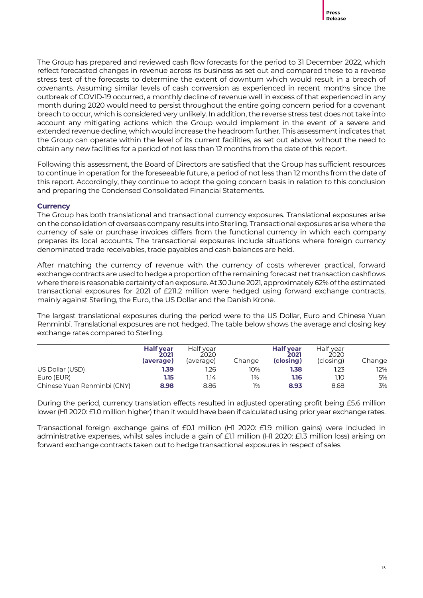The Group has prepared and reviewed cash flow forecasts for the period to 31 December 2022, which reflect forecasted changes in revenue across its business as set out and compared these to a reverse stress test of the forecasts to determine the extent of downturn which would result in a breach of covenants. Assuming similar levels of cash conversion as experienced in recent months since the outbreak of COVID-19 occurred, a monthly decline of revenue well in excess of that experienced in any month during 2020 would need to persist throughout the entire going concern period for a covenant breach to occur, which is considered very unlikely. In addition, the reverse stress test does not take into account any mitigating actions which the Group would implement in the event of a severe and extended revenue decline, which would increase the headroom further. This assessment indicates that the Group can operate within the level of its current facilities, as set out above, without the need to obtain any new facilities for a period of not less than 12 months from the date of this report.

Following this assessment, the Board of Directors are satisfied that the Group has sufficient resources to continue in operation for the foreseeable future, a period of not less than 12 months from the date of this report. Accordingly, they continue to adopt the going concern basis in relation to this conclusion and preparing the Condensed Consolidated Financial Statements.

#### **Currency**

The Group has both translational and transactional currency exposures. Translational exposures arise on the consolidation of overseas company results into Sterling. Transactional exposures arise where the currency of sale or purchase invoices differs from the functional currency in which each company prepares its local accounts. The transactional exposures include situations where foreign currency denominated trade receivables, trade payables and cash balances are held.

After matching the currency of revenue with the currency of costs wherever practical, forward exchange contracts are used to hedge a proportion of the remaining forecast net transaction cashflows where there is reasonable certainty of an exposure. At 30 June 2021, approximately 62% of the estimated transactional exposures for 2021 of £211.2 million were hedged using forward exchange contracts, mainly against Sterling, the Euro, the US Dollar and the Danish Krone.

The largest translational exposures during the period were to the US Dollar, Euro and Chinese Yuan Renminbi. Translational exposures are not hedged. The table below shows the average and closing key exchange rates compared to Sterling.

|                             | <b>Half year</b><br>2021<br>(average) | Half year<br>2020<br>(average) | Change | <b>Half year</b><br>2021<br>(closing) | Half year<br>2020<br>(closing) | Change |
|-----------------------------|---------------------------------------|--------------------------------|--------|---------------------------------------|--------------------------------|--------|
| US Dollar (USD)             | 1.39                                  | 1.26                           | 10%    | 1.38                                  | 1.23                           | 12%    |
| Euro (EUR)                  | 1.15                                  | 1.14                           | 1%     | 1.16                                  | 1.10                           | 5%     |
| Chinese Yuan Renminbi (CNY) | 8.98                                  | 8.86                           | 1%     | 8.93                                  | 8.68                           | 3%     |

During the period, currency translation effects resulted in adjusted operating profit being £5.6 million lower (H1 2020: £1.0 million higher) than it would have been if calculated using prior year exchange rates.

Transactional foreign exchange gains of £0.1 million (H1 2020: £1.9 million gains) were included in administrative expenses, whilst sales include a gain of £1.1 million (H1 2020: £1.3 million loss) arising on forward exchange contracts taken out to hedge transactional exposures in respect of sales.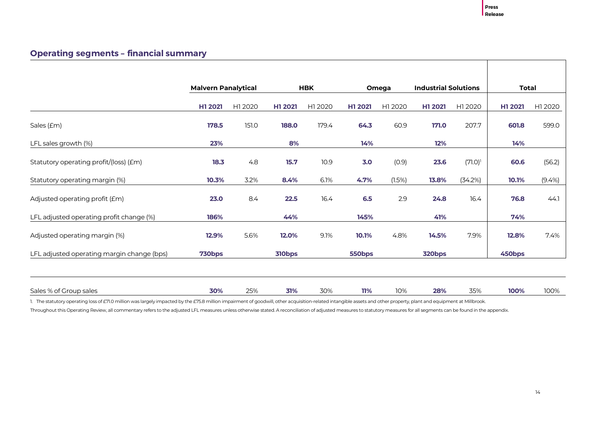٦

# **Operating segments – financial summary**

|                                            | <b>Malvern Panalytical</b> |         |         | <b>HBK</b> | Omega   |         | <b>Industrial Solutions</b> |            | <b>Total</b> |         |
|--------------------------------------------|----------------------------|---------|---------|------------|---------|---------|-----------------------------|------------|--------------|---------|
|                                            | H1 2021                    | H1 2020 | H1 2021 | H1 2020    | H1 2021 | H1 2020 | H1 2021                     | H1 2020    | H1 2021      | H1 2020 |
| Sales (£m)                                 | 178.5                      | 151.0   | 188.0   | 179.4      | 64.3    | 60.9    | 171.0                       | 207.7      | 601.8        | 599.0   |
| LFL sales growth (%)                       | 23%                        |         | 8%      |            | 14%     |         | 12%                         |            | 14%          |         |
| Statutory operating profit/(loss) (£m)     | 18.3                       | 4.8     | 15.7    | 10.9       | 3.0     | (0.9)   | 23.6                        | $(71.0)^1$ | 60.6         | (56.2)  |
| Statutory operating margin (%)             | 10.3%                      | 3.2%    | 8.4%    | 6.1%       | 4.7%    | (1.5%)  | 13.8%                       | (34.2%)    | 10.1%        | (9.4%)  |
| Adjusted operating profit (£m)             | 23.0                       | 8.4     | 22.5    | 16.4       | 6.5     | 2.9     | 24.8                        | 16.4       | 76.8         | 44.1    |
| LFL adjusted operating profit change (%)   | 186%                       |         | 44%     |            | 145%    |         | 41%                         |            | 74%          |         |
| Adjusted operating margin (%)              | 12.9%                      | 5.6%    | 12.0%   | 9.1%       | 10.1%   | 4.8%    | 14.5%                       | 7.9%       | 12.8%        | 7.4%    |
| LFL adjusted operating margin change (bps) | 730bps                     |         | 310bps  |            | 550bps  |         | 320bps                      |            | 450bps       |         |
|                                            |                            |         |         |            |         |         |                             |            |              |         |
| Sales % of Group sales                     | 30%                        | 25%     | 31%     | 30%        | 11%     | 10%     | 28%                         | 35%        | 100%         | 100%    |

1. The statutory operating loss of £71.0 million was largely impacted by the £75.8 million impairment of goodwill, other acquisition-related intangible assets and other property, plant and equipment at Millbrook.

Throughout this Operating Review, all commentary refers to the adjusted LFL measures unless otherwise stated. A reconciliation of adjusted measures to statutory measures for all segments can be found in the appendix.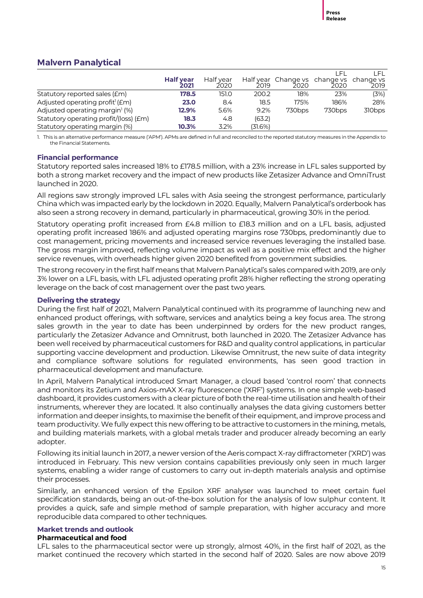# **Malvern Panalytical**

|                                             |                          |                   |         |                                                 |                    | _FL                |
|---------------------------------------------|--------------------------|-------------------|---------|-------------------------------------------------|--------------------|--------------------|
|                                             | <b>Half year</b><br>2021 | Half year<br>2020 | 2019    | Half year Change vs change vs change vs<br>2020 | 2020               | 2019               |
| Statutory reported sales (£m)               | 178.5                    | 151.0             | 200.2   | 18%                                             | 23%                | (3%)               |
| Adjusted operating profit <sup>1</sup> (£m) | 23.0                     | 8.4               | 18.5    | 175%                                            | 186%               | 28%                |
| Adjusted operating margin <sup>1</sup> (%)  | 12.9%                    | 5.6%              | 9.2%    | 730 <sub>bps</sub>                              | 730 <sub>bps</sub> | 310 <sub>bps</sub> |
| Statutory operating profit/(loss) (£m)      | 18.3                     | 4.8               | (63.2)  |                                                 |                    |                    |
| Statutory operating margin (%)              | $10.3\%$                 | 3.2%              | (31.6%) |                                                 |                    |                    |

1. This is an alternative performance measure ('APM'). APMs are defined in full and reconciled to the reported statutory measures in the Appendix to the Financial Statements.

#### **Financial performance**

Statutory reported sales increased 18% to £178.5 million, with a 23% increase in LFL sales supported by both a strong market recovery and the impact of new products like Zetasizer Advance and OmniTrust launched in 2020.

All regions saw strongly improved LFL sales with Asia seeing the strongest performance, particularly China which was impacted early by the lockdown in 2020. Equally, Malvern Panalytical's orderbook has also seen a strong recovery in demand, particularly in pharmaceutical, growing 30% in the period.

Statutory operating profit increased from £4.8 million to £18.3 million and on a LFL basis, adjusted operating profit increased 186% and adjusted operating margins rose 730bps, predominantly due to cost management, pricing movements and increased service revenues leveraging the installed base. The gross margin improved, reflecting volume impact as well as a positive mix effect and the higher service revenues, with overheads higher given 2020 benefited from government subsidies.

The strong recovery in the first half means that Malvern Panalytical's sales compared with 2019, are only 3% lower on a LFL basis, with LFL adjusted operating profit 28% higher reflecting the strong operating leverage on the back of cost management over the past two years.

#### **Delivering the strategy**

During the first half of 2021, Malvern Panalytical continued with its programme of launching new and enhanced product offerings, with software, services and analytics being a key focus area. The strong sales growth in the year to date has been underpinned by orders for the new product ranges, particularly the Zetasizer Advance and Omnitrust, both launched in 2020. The Zetasizer Advance has been well received by pharmaceutical customers for R&D and quality control applications, in particular supporting vaccine development and production. Likewise Omnitrust, the new suite of data integrity and compliance software solutions for regulated environments, has seen good traction in pharmaceutical development and manufacture.

In April, Malvern Panalytical introduced Smart Manager, a cloud based 'control room' that connects and monitors its Zetium and Axios-mAX X-ray fluorescence ('XRF') systems. In one simple web-based dashboard, it provides customers with a clear picture of both the real-time utilisation and health of their instruments, wherever they are located. It also continually analyses the data giving customers better information and deeper insights, to maximise the benefit of their equipment, and improve process and team productivity. We fully expect this new offering to be attractive to customers in the mining, metals, and building materials markets, with a global metals trader and producer already becoming an early adopter.

Following its initial launch in 2017, a newer version of the Aeris compact X-ray diffractometer ('XRD') was introduced in February. This new version contains capabilities previously only seen in much larger systems, enabling a wider range of customers to carry out in-depth materials analysis and optimise their processes.

Similarly, an enhanced version of the Epsilon XRF analyser was launched to meet certain fuel specification standards, being an out-of-the-box solution for the analysis of low sulphur content. It provides a quick, safe and simple method of sample preparation, with higher accuracy and more reproducible data compared to other techniques.

#### **Market trends and outlook**

#### **Pharmaceutical and food**

LFL sales to the pharmaceutical sector were up strongly, almost 40%, in the first half of 2021, as the market continued the recovery which started in the second half of 2020. Sales are now above 2019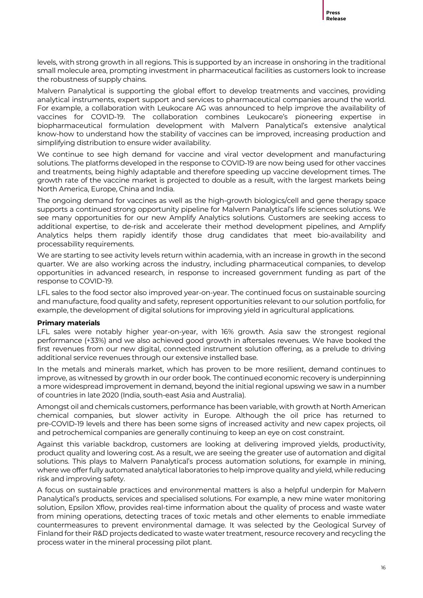levels, with strong growth in all regions. This is supported by an increase in onshoring in the traditional small molecule area, prompting investment in pharmaceutical facilities as customers look to increase the robustness of supply chains.

Malvern Panalytical is supporting the global effort to develop treatments and vaccines, providing analytical instruments, expert support and services to pharmaceutical companies around the world. For example, a collaboration with Leukocare AG was announced to help improve the availability of vaccines for COVID-19. The collaboration combines Leukocare's pioneering expertise in biopharmaceutical formulation development with Malvern Panalytical's extensive analytical know-how to understand how the stability of vaccines can be improved, increasing production and simplifying distribution to ensure wider availability.

We continue to see high demand for vaccine and viral vector development and manufacturing solutions. The platforms developed in the response to COVID-19 are now being used for other vaccines and treatments, being highly adaptable and therefore speeding up vaccine development times. The growth rate of the vaccine market is projected to double as a result, with the largest markets being North America, Europe, China and India.

The ongoing demand for vaccines as well as the high-growth biologics/cell and gene therapy space supports a continued strong opportunity pipeline for Malvern Panalytical's life sciences solutions. We see many opportunities for our new Amplify Analytics solutions. Customers are seeking access to additional expertise, to de-risk and accelerate their method development pipelines, and Amplify Analytics helps them rapidly identify those drug candidates that meet bio-availability and processability requirements.

We are starting to see activity levels return within academia, with an increase in growth in the second quarter. We are also working across the industry, including pharmaceutical companies, to develop opportunities in advanced research, in response to increased government funding as part of the response to COVID-19.

LFL sales to the food sector also improved year-on-year. The continued focus on sustainable sourcing and manufacture, food quality and safety, represent opportunities relevant to our solution portfolio, for example, the development of digital solutions for improving yield in agricultural applications.

#### **Primary materials**

LFL sales were notably higher year-on-year, with 16% growth. Asia saw the strongest regional performance (+33%) and we also achieved good growth in aftersales revenues. We have booked the first revenues from our new digital, connected instrument solution offering, as a prelude to driving additional service revenues through our extensive installed base.

In the metals and minerals market, which has proven to be more resilient, demand continues to improve, as witnessed by growth in our order book. The continued economic recovery is underpinning a more widespread improvement in demand, beyond the initial regional upswing we saw in a number of countries in late 2020 (India, south-east Asia and Australia).

Amongst oil and chemicals customers, performance has been variable, with growth at North American chemical companies, but slower activity in Europe. Although the oil price has returned to pre-COVID-19 levels and there has been some signs of increased activity and new capex projects, oil and petrochemical companies are generally continuing to keep an eye on cost constraint.

Against this variable backdrop, customers are looking at delivering improved yields, productivity, product quality and lowering cost. As a result, we are seeing the greater use of automation and digital solutions. This plays to Malvern Panalytical's process automation solutions, for example in mining, where we offer fully automated analytical laboratories to help improve quality and yield, while reducing risk and improving safety.

A focus on sustainable practices and environmental matters is also a helpful underpin for Malvern Panalytical's products, services and specialised solutions. For example, a new mine water monitoring solution, Epsilon Xflow, provides real-time information about the quality of process and waste water from mining operations, detecting traces of toxic metals and other elements to enable immediate countermeasures to prevent environmental damage. It was selected by the Geological Survey of Finland for their R&D projects dedicated to waste water treatment, resource recovery and recycling the process water in the mineral processing pilot plant.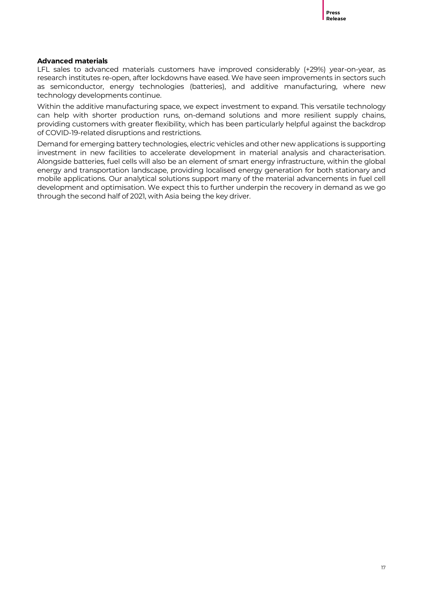#### **Advanced materials**

LFL sales to advanced materials customers have improved considerably (+29%) year-on-year, as research institutes re-open, after lockdowns have eased. We have seen improvements in sectors such as semiconductor, energy technologies (batteries), and additive manufacturing, where new technology developments continue.

Within the additive manufacturing space, we expect investment to expand. This versatile technology can help with shorter production runs, on-demand solutions and more resilient supply chains, providing customers with greater flexibility, which has been particularly helpful against the backdrop of COVID-19-related disruptions and restrictions.

Demand for emerging battery technologies, electric vehicles and other new applications is supporting investment in new facilities to accelerate development in material analysis and characterisation. Alongside batteries, fuel cells will also be an element of smart energy infrastructure, within the global energy and transportation landscape, providing localised energy generation for both stationary and mobile applications. Our analytical solutions support many of the material advancements in fuel cell development and optimisation. We expect this to further underpin the recovery in demand as we go through the second half of 2021, with Asia being the key driver.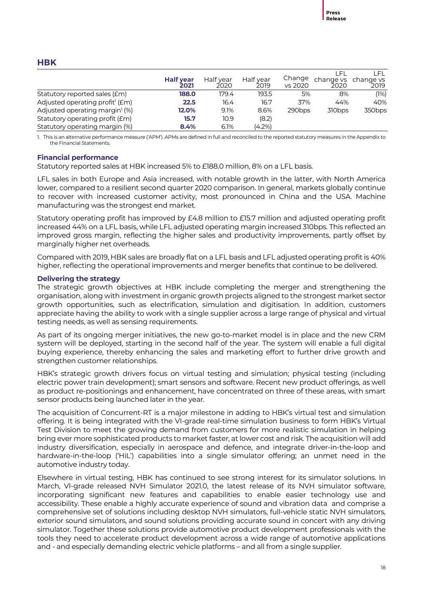#### **HBK**

|                                             | <b>Half year</b><br>2021 | Half year<br>2020 | Half year<br>2019 | Change<br>vs 2020  | change vs change vs<br>2020 | l El-<br>2019      |
|---------------------------------------------|--------------------------|-------------------|-------------------|--------------------|-----------------------------|--------------------|
|                                             |                          |                   |                   |                    |                             |                    |
| Statutory reported sales (Em)               | 188.0                    | 179.4             | 193.5             | 5%                 | 8%                          | (1%)               |
| Adjusted operating profit <sup>1</sup> (£m) | 22.5                     | 16.4              | 16.7              | 37%                | 44%                         | 40%                |
| Adjusted operating margin <sup>1</sup> (%)  | 12.0%                    | 9.1%              | 8.6%              | 290 <sub>bps</sub> | 310 <sub>bps</sub>          | 350 <sub>bps</sub> |
| Statutory operating profit (£m)             | 15.7                     | 10.9              | (8.2)             |                    |                             |                    |
| Statutory operating margin (%)              | 8.4%                     | 6.1%              | (4.2%)            |                    |                             |                    |

1. This is an alternative performance measure ('APM'). APMs are defined in full and reconciled to the reported statutory measures in the Appendix to the Financial Statements.

#### **Financial performance**

Statutory reported sales at HBK increased 5% to £188.0 million, 8% on a LFL basis.

LFL sales in both Europe and Asia increased, with notable growth in the latter, with North America lower, compared to a resilient second quarter 2020 comparison. In general, markets globally continue to recover with increased customer activity, most pronounced in China and the USA. Machine manufacturing was the strongest end market.

Statutory operating profit has improved by £4.8 million to £15.7 million and adjusted operating profit increased 44% on a LFL basis, while LFL adjusted operating margin increased 310bps. This reflected an improved gross margin, reflecting the higher sales and productivity improvements, partly offset by marginally higher net overheads.

Compared with 2019, HBK sales are broadly flat on a LFL basis and LFL adjusted operating profit is 40% higher, reflecting the operational improvements and merger benefits that continue to be delivered.

#### **Delivering the strategy**

The strategic growth objectives at HBK include completing the merger and strengthening the organisation, along with investment in organic growth projects aligned to the strongest market sector growth opportunities, such as electrification, simulation and digitisation. In addition, customers appreciate having the ability to work with a single supplier across a large range of physical and virtual testing needs, as well as sensing requirements.

As part of its ongoing merger initiatives, the new go-to-market model is in place and the new CRM system will be deployed, starting in the second half of the year. The system will enable a full digital buying experience, thereby enhancing the sales and marketing effort to further drive growth and strengthen customer relationships.

HBK's strategic growth drivers focus on virtual testing and simulation; physical testing (including electric power train development); smart sensors and software. Recent new product offerings, as well as product re-positionings and enhancement, have concentrated on three of these areas, with smart sensor products being launched later in the year.

The acquisition of Concurrent-RT is a major milestone in adding to HBK's virtual test and simulation offering. It is being integrated with the VI-grade real-time simulation business to form HBK's Virtual Test Division to meet the growing demand from customers for more realistic simulation in helping bring ever more sophisticated products to market faster, at lower cost and risk. The acquisition will add industry diversification, especially in aerospace and defence, and integrate driver-in-the-loop and hardware-in-the-loop ('HiL') capabilities into a single simulator offering; an unmet need in the automotive industry today.

Elsewhere in virtual testing, HBK has continued to see strong interest for its simulator solutions. In March, [VI-grade](https://www.vi-grade.com/) released NVH Simulator 2021.0, the latest release of its NVH simulator software, incorporating significant new features and capabilities to enable easier technology use and accessibility. These enable a highly accurate experience of sound and vibration data and comprise a comprehensive set of solutions including desktop NVH simulators, full-vehicle static NVH simulators, exterior sound simulators, and sound solutions providing accurate sound in concert with any driving simulator. [Together these solutions provide automotive product development professionals with the](https://www.vi-grade.com/en/applications/nvh/)  [tools they need to accelerate product development across a wide range of automotive applications](https://www.vi-grade.com/en/applications/nvh/)  and - [and especially demanding electric vehicle platforms –](https://www.vi-grade.com/en/applications/nvh/) and all from a single supplier.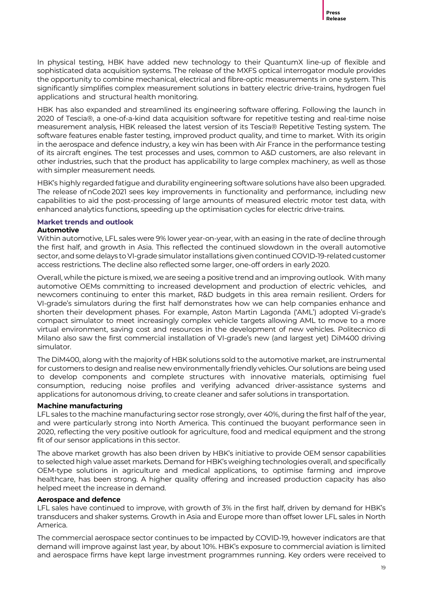In physical testing, HBK have added new technology to their QuantumX line-up of flexible and sophisticated data acquisition systems. The release of the MXFS optical interrogator module provides the opportunity to combine mechanical, electrical and fibre-optic measurements in one system. This significantly simplifies complex measurement solutions in battery electric drive-trains, hydrogen fuel applications and structural health monitoring.

HBK has also expanded and streamlined its engineering software offering. Following the launch in 2020 of Tescia®, a one-of-a-kind data acquisition software for repetitive testing and real-time noise measurement analysis, HBK released the latest version of its Tescia® Repetitive Testing system. The software features enable faster testing, improved product quality, and time to market. With its origin in the aerospace and defence industry, a key win has been with Air France in the performance testing of its aircraft engines. The test processes and uses, common to A&D customers, are also relevant in other industries, such that the product has applicability to large complex machinery, as well as those with simpler measurement needs.

HBK's highly regarded fatigue and durability engineering software solutions have also been upgraded. The release ofnCode 2021 sees key improvements in functionality and performance, including new capabilities to aid the post-processing of large amounts of measured electric motor test data, with enhanced analytics functions, speeding up the optimisation cycles for electric drive-trains.

#### **Market trends and outlook Automotive**

Within automotive, LFL sales were 9% lower year-on-year, with an easing in the rate of decline through the first half, and growth in Asia. This reflected the continued slowdown in the overall automotive sector, and some delays to VI-grade simulator installations given continued COVID-19-related customer access restrictions. The decline also reflected some larger, one-off orders in early 2020.

Overall, while the picture is mixed, we are seeing a positive trend and an improving outlook. With many automotive OEMs committing to increased development and production of electric vehicles, and newcomers continuing to enter this market, R&D budgets in this area remain resilient. Orders for VI-grade's simulators during the first half demonstrates how we can help companies enhance and shorten their development phases. For example, [Aston Martin Lagonda](https://www.astonmartinlagonda.com/) ('AML') adopted Vi-grade's [compact simulator](https://www.vi-grade.com/en/products/compact-simulator/) to meet increasingly complex vehicle targets allowing AML to move to a more virtual environment, saving cost and resources in the development of new vehicles. Politecnico di Milano also saw the first commercial installation of VI-grade's new (and largest yet) DiM400 driving simulator.

The DiM400, along with the majority of HBK solutions sold to the automotive market, are instrumental for customers to design and realise new environmentally friendly vehicles. Our solutions are being used to develop components and complete structures with innovative materials, optimising fuel consumption, reducing noise profiles and verifying advanced driver-assistance systems and applications for autonomous driving, to create cleaner and safer solutions in transportation.

#### **Machine manufacturing**

LFL sales to the machine manufacturing sector rose strongly, over 40%, during the first half of the year, and were particularly strong into North America. This continued the buoyant performance seen in 2020, reflecting the very positive outlook for agriculture, food and medical equipment and the strong fit of our sensor applications in this sector.

The above market growth has also been driven by HBK's initiative to provide OEM sensor capabilities to selected high value asset markets. Demand for HBK's weighing technologies overall, and specifically OEM-type solutions in agriculture and medical applications, to optimise farming and improve healthcare, has been strong. A higher quality offering and increased production capacity has also helped meet the increase in demand.

#### **Aerospace and defence**

LFL sales have continued to improve, with growth of 3% in the first half, driven by demand for HBK's transducers and shaker systems. Growth in Asia and Europe more than offset lower LFL sales in North America.

The commercial aerospace sector continues to be impacted by COVID-19, however indicators are that demand will improve against last year, by about 10%. HBK's exposure to commercial aviation is limited and aerospace firms have kept large investment programmes running. Key orders were received to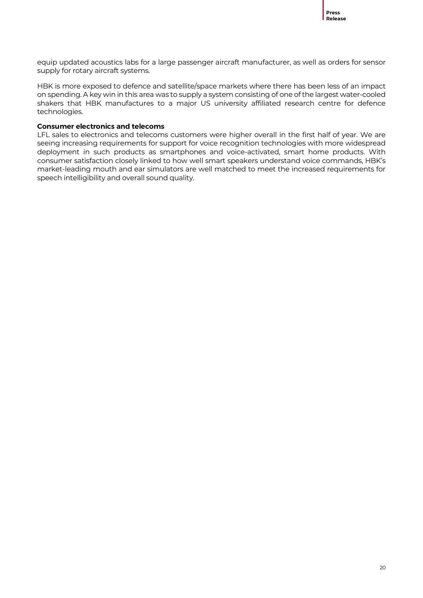

equip updated acoustics labs for a large passenger aircraft manufacturer, as well as orders for sensor supply for rotary aircraft systems.

HBK is more exposed to defence and satellite/space markets where there has been less of an impact on spending. A key win in this area was to supply a system consisting of one of the largest water-cooled shakers that HBK manufactures to a major US university affiliated research centre for defence technologies.

#### **Consumer electronics and telecoms**

LFL sales to electronics and telecoms customers were higher overall in the first half of year. We are seeing increasing requirements for support for voice recognition technologies with more widespread deployment in such products as smartphones and voice-activated, smart home products. With consumer satisfaction closely linked to how well smart speakers understand voice commands, HBK's market-leading mouth and ear simulators are well matched to meet the increased requirements for speech intelligibility and overall sound quality.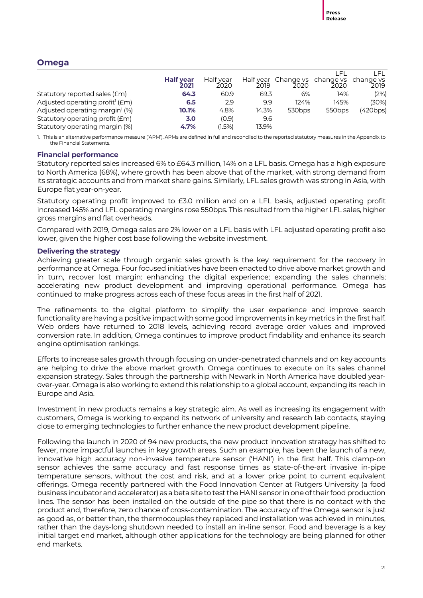# **Omega**

|                                             |                          |                   |                   |                                       |                    | I EL     |
|---------------------------------------------|--------------------------|-------------------|-------------------|---------------------------------------|--------------------|----------|
|                                             | <b>Half year</b><br>2021 | Half year<br>2020 | Half vear<br>2019 | Change vs change vs change vs<br>2020 | 2020               | 2019     |
| Statutory reported sales (£m)               | 64.3                     | 60.9              | 69.3              | 6%                                    | 14%                | (2%)     |
| Adjusted operating profit <sup>1</sup> (£m) | 6.5                      | 2.9               | 9.9               | 124%                                  | 145%               | (30%)    |
| Adjusted operating margin <sup>1</sup> (%)  | 10.1%                    | 4.8%              | 14.3%             | 530 <sub>bps</sub>                    | 550 <sub>bps</sub> | (420bps) |
| Statutory operating profit (£m)             | 3.0                      | (0.9)             | 9.6               |                                       |                    |          |
| Statutory operating margin (%)              | 4.7%                     | (1.5%)            | 13.9%             |                                       |                    |          |

1. This is an alternative performance measure ('APM'). APMs are defined in full and reconciled to the reported statutory measures in the Appendix to the Financial Statements.

#### **Financial performance**

Statutory reported sales increased 6% to £64.3 million, 14% on a LFL basis. Omega has a high exposure to North America (68%), where growth has been above that of the market, with strong demand from its strategic accounts and from market share gains. Similarly, LFL sales growth was strong in Asia, with Europe flat year-on-year.

Statutory operating profit improved to £3.0 million and on a LFL basis, adjusted operating profit increased 145% and LFL operating margins rose 550bps. This resulted from the higher LFL sales, higher gross margins and flat overheads.

Compared with 2019, Omega sales are 2% lower on a LFL basis with LFL adjusted operating profit also lower, given the higher cost base following the website investment.

#### **Delivering the strategy**

Achieving greater scale through organic sales growth is the key requirement for the recovery in performance at Omega. Four focused initiatives have been enacted to drive above market growth and in turn, recover lost margin: enhancing the digital experience; expanding the sales channels; accelerating new product development and improving operational performance. Omega has continued to make progress across each of these focus areas in the first half of 2021.

The refinements to the digital platform to simplify the user experience and improve search functionality are having a positive impact with some good improvements in key metrics in the first half. Web orders have returned to 2018 levels, achieving record average order values and improved conversion rate. In addition, Omega continues to improve product findability and enhance its search engine optimisation rankings.

Efforts to increase sales growth through focusing on under-penetrated channels and on key accounts are helping to drive the above market growth. Omega continues to execute on its sales channel expansion strategy. Sales through the partnership with Newark in North America have doubled yearover-year. Omega is also working to extend this relationship to a global account, expanding its reach in Europe and Asia.

Investment in new products remains a key strategic aim. As well as increasing its engagement with customers, Omega is working to expand its network of university and research lab contacts, staying close to emerging technologies to further enhance the new product development pipeline.

Following the launch in 2020 of 94 new products, the new product innovation strategy has shifted to fewer, more impactful launches in key growth areas. Such an example, has been the launch of a new, innovative high accuracy non-invasive temperature sensor ('HANI') in the first half. This clamp-on sensor achieves the same accuracy and fast response times as state-of-the-art invasive in-pipe temperature sensors, without the cost and risk, and at a lower price point to current equivalent offerings. Omega recently partnered with the Food Innovation Center at Rutgers University (a food business incubator and accelerator) as a beta site to test the HANI sensor in one of their food production lines. The sensor has been installed on the outside of the pipe so that there is no contact with the product and, therefore, zero chance of cross-contamination. The accuracy of the Omega sensor is just as good as, or better than, the thermocouples they replaced and installation was achieved in minutes, rather than the days-long shutdown needed to install an in-line sensor. Food and beverage is a key initial target end market, although other applications for the technology are being planned for other end markets.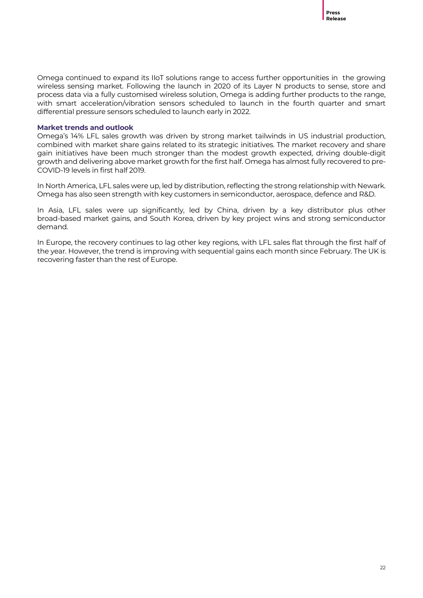Omega continued to expand its IIoT solutions range to access further opportunities in the growing wireless sensing market. Following the launch in 2020 of its Layer N products to sense, store and process data via a fully customised wireless solution, Omega is adding further products to the range, with smart acceleration/vibration sensors scheduled to launch in the fourth quarter and smart differential pressure sensors scheduled to launch early in 2022.

#### **Market trends and outlook**

Omega's 14% LFL sales growth was driven by strong market tailwinds in US industrial production, combined with market share gains related to its strategic initiatives. The market recovery and share gain initiatives have been much stronger than the modest growth expected, driving double-digit growth and delivering above market growth for the first half. Omega has almost fully recovered to pre-COVID-19 levels in first half 2019.

In North America, LFL sales were up, led by distribution, reflecting the strong relationship with Newark. Omega has also seen strength with key customers in semiconductor, aerospace, defence and R&D.

In Asia, LFL sales were up significantly, led by China, driven by a key distributor plus other broad-based market gains, and South Korea, driven by key project wins and strong semiconductor demand.

In Europe, the recovery continues to lag other key regions, with LFL sales flat through the first half of the year. However, the trend is improving with sequential gains each month since February. The UK is recovering faster than the rest of Europe.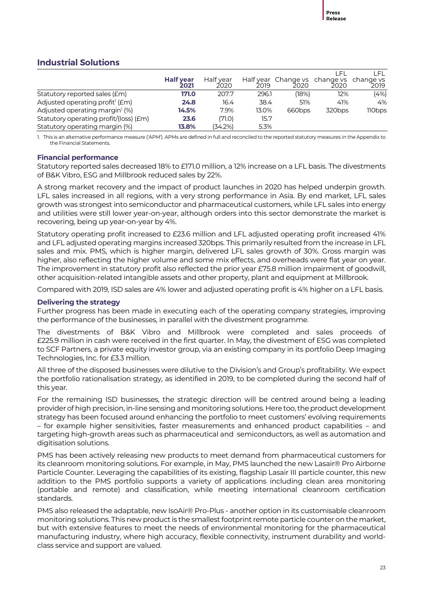# **Industrial Solutions**

|                                             |                          |                   |       |                                                 | I EI               | LEL.   |
|---------------------------------------------|--------------------------|-------------------|-------|-------------------------------------------------|--------------------|--------|
|                                             | <b>Half year</b><br>2021 | Half vear<br>2020 | 2019  | Half year Change vs change vs change vs<br>2020 | 2020               | 2019   |
| Statutory reported sales (£m)               | 171.0                    | 207.7             | 296.1 | (18%)                                           | 12%                | (4%)   |
| Adjusted operating profit <sup>1</sup> (£m) | 24.8                     | 16.4              | 38.4  | 51%                                             | 41%                | 4%     |
| Adjusted operating margin (%)               | 14.5%                    | 7.9%              | 13.0% | 660 <sub>bps</sub>                              | 320 <sub>bps</sub> | 110bps |
| Statutory operating profit/(loss) (£m)      | 23.6                     | (71.0)            | 15.7  |                                                 |                    |        |
| Statutory operating margin (%)              | 13.8%                    | (34.2%)           | 5.3%  |                                                 |                    |        |

1. This is an alternative performance measure ('APM'). APMs are defined in full and reconciled to the reported statutory measures in the Appendix to the Financial Statements.

#### **Financial performance**

Statutory reported sales decreased 18% to £171.0 million, a 12% increase on a LFL basis. The divestments of B&K Vibro, ESG and Millbrook reduced sales by 22%.

A strong market recovery and the impact of product launches in 2020 has helped underpin growth. LFL sales increased in all regions, with a very strong performance in Asia. By end market, LFL sales growth was strongest into semiconductor and pharmaceutical customers, while LFL sales into energy and utilities were still lower year-on-year, although orders into this sector demonstrate the market is recovering, being up year-on-year by 4%.

Statutory operating profit increased to £23.6 million and LFL adjusted operating profit increased 41% and LFL adjusted operating margins increased 320bps. This primarily resulted from the increase in LFL sales and mix. PMS, which is higher margin, delivered LFL sales growth of 30%. Gross margin was higher, also reflecting the higher volume and some mix effects, and overheads were flat year on year. The improvement in statutory profit also reflected the prior year £75.8 million impairment of goodwill, other acquisition-related intangible assets and other property, plant and equipment at Millbrook.

Compared with 2019, ISD sales are 4% lower and adjusted operating profit is 4% higher on a LFL basis.

#### **Delivering the strategy**

Further progress has been made in executing each of the operating company strategies, improving the performance of the businesses, in parallel with the divestment programme.

The divestments of B&K Vibro and Millbrook were completed and sales proceeds of £225.9 million in cash were received in the first quarter. In May, the divestment of ESG was completed to SCF Partners, a private equity investor group, via an existing company in its portfolio Deep Imaging Technologies, Inc. for £3.3 million.

All three of the disposed businesses were dilutive to the Division's and Group's profitability. We expect the portfolio rationalisation strategy, as identified in 2019, to be completed during the second half of this year.

For the remaining ISD businesses, the strategic direction will be centred around being a leading provider of high precision, in-line sensing and monitoring solutions. Here too, the product development strategy has been focused around enhancing the portfolio to meet customers' evolving requirements – for example higher sensitivities, faster measurements and enhanced product capabilities – and targeting high-growth areas such as pharmaceutical and semiconductors, as well as automation and digitisation solutions.

PMS has been actively releasing new products to meet demand from pharmaceutical customers for its cleanroom monitoring solutions. For example, in May, PMS launched the new Lasair® Pro Airborne Particle Counter. Leveraging the capabilities of its existing, flagship Lasair III particle counter, this new addition to the PMS portfolio supports a variety of applications including clean area monitoring (portable and remote) and classification, while meeting international cleanroom certification standards.

PMS also released the adaptable, new IsoAir® Pro-Plus - another option in its customisable cleanroom monitoring solutions. This new product is the smallest footprint remot[e particle counter](https://www.pmeasuring.com/products/cleanroom-particle-counters/?utm_source=PMS&utm_medium=Press%20Release&utm_campaign=IsoAir%20Pro-Plus&utm_content=Introduction) on the market, but with extensive features to meet the needs of environmental monitoring for the pharmaceutical manufacturing industry, where high accuracy, flexible connectivity, instrument durability and worldclass service and support are valued.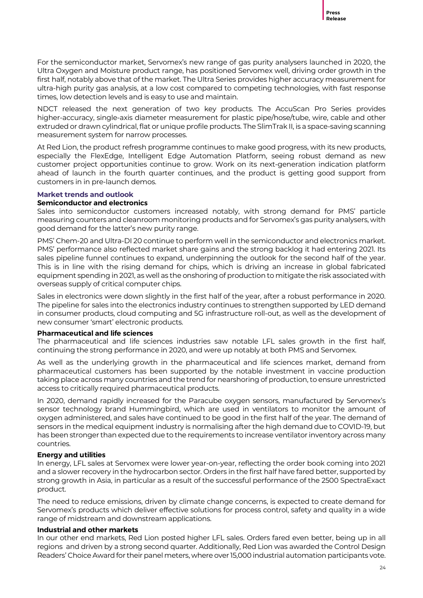For the semiconductor market, Servomex's new range of gas purity analysers launched in 2020, the Ultra Oxygen and Moisture product range, has positioned Servomex well, driving order growth in the first half, notably above that of the market. The Ultra Series provides higher accuracy measurement for ultra-high purity gas analysis, at a low cost compared to competing technologies, with fast response times, low detection levels and is easy to use and maintain.

NDCT released the next generation of two key products. The AccuScan Pro Series provides higher-accuracy, single-axis diameter measurement for plastic pipe/hose/tube, wire, cable and other extruded or drawn cylindrical, flat or unique profile products. The SlimTrak II, is a space-saving scanning measurement system for narrow processes.

At Red Lion, the product refresh programme continues to make good progress, with its new products, especially the FlexEdge, Intelligent Edge Automation Platform, seeing robust demand as new customer project opportunities continue to grow. Work on its next-generation indication platform ahead of launch in the fourth quarter continues, and the product is getting good support from customers in in pre-launch demos.

#### **Market trends and outlook**

#### **Semiconductor and electronics**

Sales into semiconductor customers increased notably, with strong demand for PMS' particle measuring counters and cleanroom monitoring products and for Servomex's gas purity analysers, with good demand for the latter's new purity range.

PMS' Chem-20 and Ultra-DI 20 continue to perform well in the semiconductor and electronics market. PMS' performance also reflected market share gains and the strong backlog it had entering 2021. Its sales pipeline funnel continues to expand, underpinning the outlook for the second half of the year. This is in line with the rising demand for chips, which is driving an increase in global fabricated equipment spending in 2021, as well as the onshoring of production to mitigate the risk associated with overseas supply of critical computer chips.

Sales in electronics were down slightly in the first half of the year, after a robust performance in 2020. The pipeline for sales into the electronics industry continues to strengthen supported by LED demand in consumer products, cloud computing and 5G infrastructure roll-out, as well as the development of new consumer 'smart' electronic products.

#### **Pharmaceutical and life sciences**

The pharmaceutical and life sciences industries saw notable LFL sales growth in the first half, continuing the strong performance in 2020, and were up notably at both PMS and Servomex.

As well as the underlying growth in the pharmaceutical and life sciences market, demand from pharmaceutical customers has been supported by the notable investment in vaccine production taking place across many countries and the trend for nearshoring of production, to ensure unrestricted access to critically required pharmaceutical products.

In 2020, demand rapidly increased for the Paracube oxygen sensors, manufactured by Servomex's sensor technology brand Hummingbird, which are used in ventilators to monitor the amount of oxygen administered, and sales have continued to be good in the first half of the year. The demand of sensors in the medical equipment industry is normalising after the high demand due to COVID-19, but has been stronger than expected due to the requirements to increase ventilator inventory across many countries.

#### **Energy and utilities**

In energy, LFL sales at Servomex were lower year-on-year, reflecting the order book coming into 2021 and a slower recovery in the hydrocarbon sector. Orders in the first half have fared better, supported by strong growth in Asia, in particular as a result of the successful performance of the 2500 SpectraExact product.

The need to reduce emissions, driven by climate change concerns, is expected to create demand for Servomex's products which deliver effective solutions for process control, safety and quality in a wide range of midstream and downstream applications.

#### **Industrial and other markets**

In our other end markets, Red Lion posted higher LFL sales. Orders fared even better, being up in all regions and driven by a strong second quarter. Additionally, Red Lion was awarded the Control Design Readers' Choice Award for their panel meters, where over 15,000 industrial automation participants vote.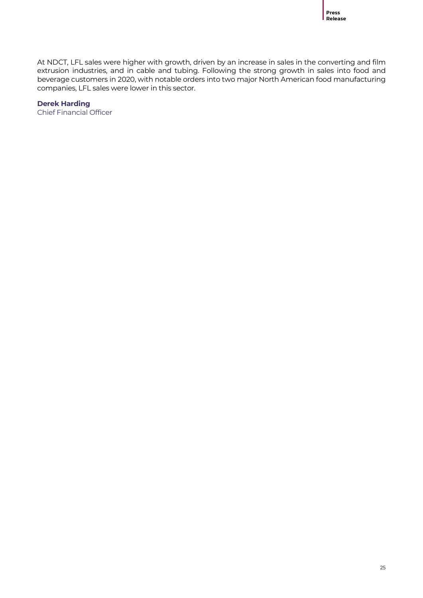At NDCT, LFL sales were higher with growth, driven by an increase in sales in the converting and film extrusion industries, and in cable and tubing. Following the strong growth in sales into food and beverage customers in 2020, with notable orders into two major North American food manufacturing companies, LFL sales were lower in this sector.

**Derek Harding** Chief Financial Officer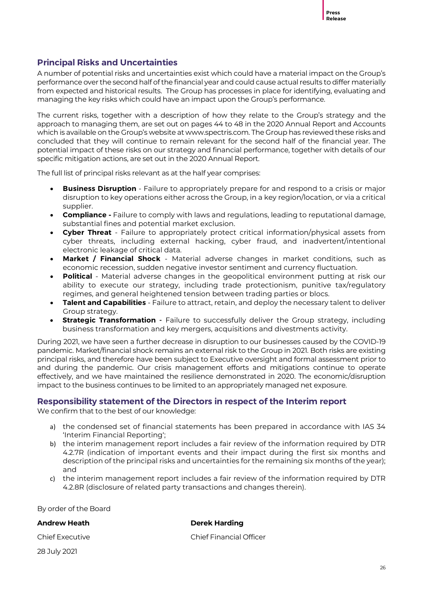#### **Principal Risks and Uncertainties**

A number of potential risks and uncertainties exist which could have a material impact on the Group's performance over the second half of the financial year and could cause actual results to differ materially from expected and historical results. The Group has processes in place for identifying, evaluating and managing the key risks which could have an impact upon the Group's performance.

The current risks, together with a description of how they relate to the Group's strategy and the approach to managing them, are set out on pages 44 to 48 in the 2020 Annual Report and Accounts which is available on the Group's website at www.spectris.com. The Group has reviewed these risks and concluded that they will continue to remain relevant for the second half of the financial year. The potential impact of these risks on our strategy and financial performance, together with details of our specific mitigation actions, are set out in the 2020 Annual Report.

The full list of principal risks relevant as at the half year comprises:

- **Business Disruption** Failure to appropriately prepare for and respond to a crisis or major disruption to key operations either across the Group, in a key region/location, or via a critical supplier.
- **Compliance -** Failure to comply with laws and regulations, leading to reputational damage, substantial fines and potential market exclusion.
- **Cyber Threat** Failure to appropriately protect critical information/physical assets from cyber threats, including external hacking, cyber fraud, and inadvertent/intentional electronic leakage of critical data.
- **Market / Financial Shock** Material adverse changes in market conditions, such as economic recession, sudden negative investor sentiment and currency fluctuation.
- **Political** Material adverse changes in the geopolitical environment putting at risk our ability to execute our strategy, including trade protectionism, punitive tax/regulatory regimes, and general heightened tension between trading parties or blocs.
- **Talent and Capabilities** Failure to attract, retain, and deploy the necessary talent to deliver Group strategy.
- **Strategic Transformation -** Failure to successfully deliver the Group strategy, including business transformation and key mergers, acquisitions and divestments activity.

During 2021, we have seen a further decrease in disruption to our businesses caused by the COVID-19 pandemic. Market/financial shock remains an external risk to the Group in 2021. Both risks are existing principal risks, and therefore have been subject to Executive oversight and formal assessment prior to and during the pandemic. Our crisis management efforts and mitigations continue to operate effectively, and we have maintained the resilience demonstrated in 2020. The economic/disruption impact to the business continues to be limited to an appropriately managed net exposure.

#### **Responsibility statement of the Directors in respect of the Interim report**

We confirm that to the best of our knowledge:

- a) the condensed set of financial statements has been prepared in accordance with IAS 34 'Interim Financial Reporting';
- b) the interim management report includes a fair review of the information required by DTR 4.2.7R (indication of important events and their impact during the first six months and description of the principal risks and uncertainties for the remaining six months of the year); and
- c) the interim management report includes a fair review of the information required by DTR 4.2.8R (disclosure of related party transactions and changes therein).

By order of the Board

#### **Andrew Heath Derek Harding**

28 July 2021

Chief Executive Chief Financial Officer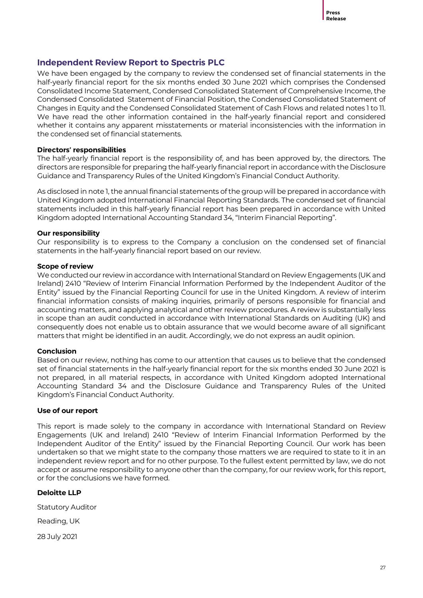#### **Independent Review Report to Spectris PLC**

We have been engaged by the company to review the condensed set of financial statements in the half-yearly financial report for the six months ended 30 June 2021 which comprises the Condensed Consolidated Income Statement, Condensed Consolidated Statement of Comprehensive Income, the Condensed Consolidated Statement of Financial Position, the Condensed Consolidated Statement of Changes in Equity and the Condensed Consolidated Statement of Cash Flows and related notes 1 to 11. We have read the other information contained in the half-yearly financial report and considered whether it contains any apparent misstatements or material inconsistencies with the information in the condensed set of financial statements.

#### **Directors' responsibilities**

The half-yearly financial report is the responsibility of, and has been approved by, the directors. The directors are responsible for preparing the half-yearly financial report in accordance with the Disclosure Guidance and Transparency Rules of the United Kingdom's Financial Conduct Authority.

As disclosed in note 1, the annual financial statements of the group will be prepared in accordance with United Kingdom adopted International Financial Reporting Standards. The condensed set of financial statements included in this half-yearly financial report has been prepared in accordance with United Kingdom adopted International Accounting Standard 34, "Interim Financial Reporting".

#### **Our responsibility**

Our responsibility is to express to the Company a conclusion on the condensed set of financial statements in the half-yearly financial report based on our review.

#### **Scope of review**

We conducted our review in accordance with International Standard on Review Engagements (UK and Ireland) 2410 "Review of Interim Financial Information Performed by the Independent Auditor of the Entity" issued by the Financial Reporting Council for use in the United Kingdom. A review of interim financial information consists of making inquiries, primarily of persons responsible for financial and accounting matters, and applying analytical and other review procedures. A review is substantially less in scope than an audit conducted in accordance with International Standards on Auditing (UK) and consequently does not enable us to obtain assurance that we would become aware of all significant matters that might be identified in an audit. Accordingly, we do not express an audit opinion.

#### **Conclusion**

Based on our review, nothing has come to our attention that causes us to believe that the condensed set of financial statements in the half-yearly financial report for the six months ended 30 June 2021 is not prepared, in all material respects, in accordance with United Kingdom adopted International Accounting Standard 34 and the Disclosure Guidance and Transparency Rules of the United Kingdom's Financial Conduct Authority.

#### **Use of our report**

This report is made solely to the company in accordance with International Standard on Review Engagements (UK and Ireland) 2410 "Review of Interim Financial Information Performed by the Independent Auditor of the Entity" issued by the Financial Reporting Council. Our work has been undertaken so that we might state to the company those matters we are required to state to it in an independent review report and for no other purpose. To the fullest extent permitted by law, we do not accept or assume responsibility to anyone other than the company, for our review work, for this report, or for the conclusions we have formed.

#### **Deloitte LLP**

Statutory Auditor

Reading, UK

28 July 2021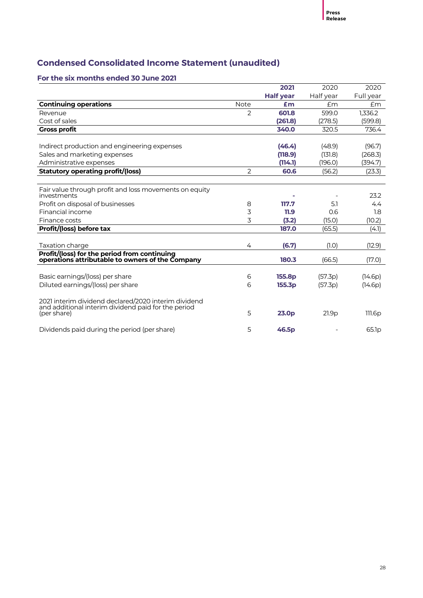# **Condensed Consolidated Income Statement (unaudited)**

#### **For the six months ended 30 June 2021**

|                                                                                                  |                | 2021               | 2020      | 2020              |
|--------------------------------------------------------------------------------------------------|----------------|--------------------|-----------|-------------------|
|                                                                                                  |                | <b>Half year</b>   | Half year | Full year         |
| <b>Continuing operations</b>                                                                     | Note           | £m                 | £m        | Em                |
| Revenue                                                                                          | $\overline{2}$ | 601.8              | 599.0     | 1,336.2           |
| Cost of sales                                                                                    |                | (261.8)            | (278.5)   | (599.8)           |
| <b>Gross profit</b>                                                                              |                | 340.0              | 320.5     | 736.4             |
|                                                                                                  |                |                    |           |                   |
| Indirect production and engineering expenses                                                     |                | (46.4)             | (48.9)    | (96.7)            |
| Sales and marketing expenses                                                                     |                | (118.9)            | (131.8)   | (268.3)           |
| Administrative expenses                                                                          |                | (114.1)            | (196.0)   | (394.7)           |
| Statutory operating profit/(loss)                                                                | $\mathcal{P}$  | 60.6               | (56.2)    | (23.3)            |
|                                                                                                  |                |                    |           |                   |
| Fair value through profit and loss movements on equity                                           |                |                    |           |                   |
| investments                                                                                      |                |                    |           | 23.2              |
| Profit on disposal of businesses                                                                 | 8              | 117.7              | 5.1       | 4.4               |
| Financial income                                                                                 | 3              | 11.9               | 0.6       | 1.8               |
| Finance costs                                                                                    | 3              | (3.2)              | (15.0)    | (10.2)            |
| Profit/(loss) before tax                                                                         |                | 187.0              | (65.5)    | (4.1)             |
|                                                                                                  |                |                    |           |                   |
| Taxation charge                                                                                  | 4              | (6.7)              | (1.0)     | (12.9)            |
| Profit/(loss) for the period from continuing<br>operations attributable to owners of the Company |                | 180.3              | (66.5)    | (17.0)            |
|                                                                                                  |                |                    |           |                   |
| Basic earnings/(loss) per share                                                                  | 6              | 155.8 <sub>p</sub> | (57.3p)   | (14.6p)           |
| Diluted earnings/(loss) per share                                                                | 6              | 155.3p             | (57.3p)   | (14.6p)           |
| 2021 interim dividend declared/2020 interim dividend                                             |                |                    |           |                   |
| and additional interim dividend paid for the period<br>(per share)                               | 5              | 23.0 <sub>p</sub>  | 21.9p     | 111.6p            |
|                                                                                                  |                |                    |           |                   |
| Dividends paid during the period (per share)                                                     | 5              | 46.5 <sub>p</sub>  |           | 65.1 <sub>p</sub> |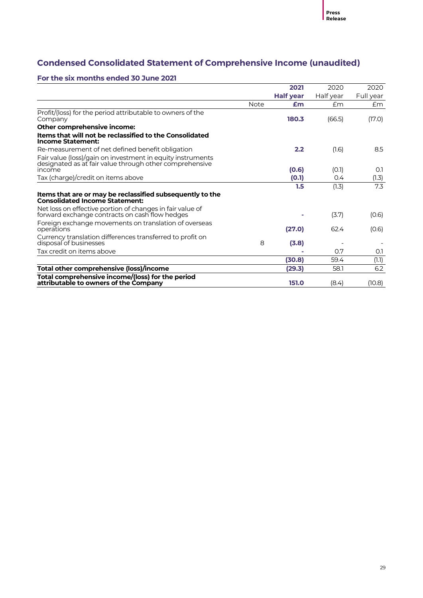# **Condensed Consolidated Statement of Comprehensive Income (unaudited)**

#### **For the six months ended 30 June 2021**

|                                                                                                                                 |             | 2021             | 2020      | 2020         |
|---------------------------------------------------------------------------------------------------------------------------------|-------------|------------------|-----------|--------------|
|                                                                                                                                 |             | <b>Half year</b> | Half year | Full year    |
|                                                                                                                                 | <b>Note</b> | £m               | Em        | £m           |
| Profit/(loss) for the period attributable to owners of the<br>Company                                                           |             | 180.3            | (66.5)    | (17.0)       |
| Other comprehensive income:                                                                                                     |             |                  |           |              |
| Items that will not be reclassified to the Consolidated<br><b>Income Statement:</b>                                             |             |                  |           |              |
| Re-measurement of net defined benefit obligation                                                                                |             | 2.2              | (1.6)     | 8.5          |
| Fair value (loss)/gain on investment in equity instruments<br>designated as at fair value through other comprehensive<br>income |             |                  |           | O.1          |
|                                                                                                                                 |             | (0.6)            | (0.1)     |              |
| Tax (charge)/credit on items above                                                                                              |             | (0.1)<br>1.5     | 0.4       | (1.3)<br>7.3 |
| Items that are or may be reclassified subsequently to the<br><b>Consolidated Income Statement:</b>                              |             |                  | (1.3)     |              |
| Net loss on effective portion of changes in fair value of<br>forward exchange contracts on cash flow hedges                     |             |                  | (3.7)     | (0.6)        |
| Foreign exchange movements on translation of overseas<br>operations                                                             |             | (27.0)           | 62.4      | (0.6)        |
| Currency translation differences transferred to profit on<br>disposal of businesses                                             | 8           | (3.8)            |           |              |
| Tax credit on items above                                                                                                       |             |                  | 0.7       | O.1          |
|                                                                                                                                 |             | (30.8)           | 59.4      | (1.1)        |
| Total other comprehensive (loss)/income                                                                                         |             | (29.3)           | 58.1      | 6.2          |
| Total comprehensive income/(loss) for the period<br>attributable to owners of the Company                                       |             | 151.0            | (8.4)     | (10.8)       |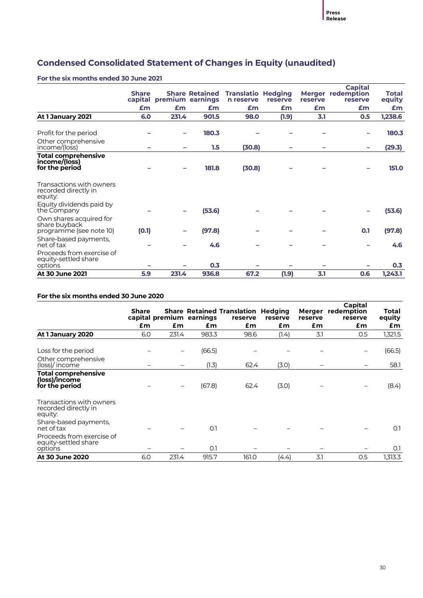# **Condensed Consolidated Statement of Changes in Equity (unaudited)**

#### **For the six months ended 30 June 2021**

|                                                                     | <b>Share</b> | capital premium earnings | <b>Share Retained</b> | <b>Translatio Hedging</b><br>n reserve | reserve | reserve | <b>Capital</b><br><b>Merger redemption</b><br>reserve | Total<br>equity |
|---------------------------------------------------------------------|--------------|--------------------------|-----------------------|----------------------------------------|---------|---------|-------------------------------------------------------|-----------------|
|                                                                     | £m           | £m                       | £m                    | £m                                     | £m      | £m      | £m                                                    | £m              |
| At 1 January 2021                                                   | 6.0          | 231.4                    | 901.5                 | 98.0                                   | (1.9)   | 3.1     | 0.5                                                   | 1,238.6         |
| Profit for the period                                               |              |                          | 180.3                 |                                        |         |         |                                                       | 180.3           |
| Other comprehensive<br>income/(loss)                                |              |                          | $1.5\,$               | (30.8)                                 |         |         |                                                       | (29.3)          |
| <b>Total comprehensive</b><br>income/(loss)<br>for the period       |              |                          | 181.8                 | (30.8)                                 |         |         |                                                       | 151.0           |
| Transactions with owners<br>recorded directly in<br>equity:         |              |                          |                       |                                        |         |         |                                                       |                 |
| Equity dividends paid by<br>the Company                             |              |                          | (53.6)                |                                        |         |         |                                                       | (53.6)          |
| Own shares acquired for<br>share buyback<br>programme (see note 10) | (0.1)        |                          | (97.8)                |                                        |         |         | 0.1                                                   | (97.8)          |
| Share-based payments,<br>net of tax                                 |              |                          | 4.6                   |                                        |         |         |                                                       | 4.6             |
| Proceeds from exercise of<br>equity-settled share<br>options        |              |                          | 0.3                   |                                        |         |         |                                                       | 0.3             |
| <b>At 30 June 2021</b>                                              | 5.9          | 231.4                    | 936.8                 | 67.2                                   | (1.9)   | 3.1     | 0.6                                                   | 1,243.1         |

#### **For the six months ended 30 June 2020**

|                                                               | <b>Share</b> |       | capital premium earnings | <b>Share Retained Translation Hedging</b><br>reserve | reserve | reserve | Capital<br>Merger redemption<br>reserve | Total<br>equity |
|---------------------------------------------------------------|--------------|-------|--------------------------|------------------------------------------------------|---------|---------|-----------------------------------------|-----------------|
|                                                               | £m           | £m    | £m                       | £m                                                   | £m      | £m      | £m                                      | £m              |
| At 1 January 2020                                             | 6.0          | 231.4 | 983.3                    | 98.6                                                 | (1.4)   | 3.1     | 0.5                                     | 1,321.5         |
| Loss for the period                                           |              |       | (66.5)                   |                                                      |         |         |                                         | (66.5)          |
| Other comprehensive<br>(loss)/income                          |              |       | (1.3)                    | 62.4                                                 | (3.0)   |         |                                         | 58.1            |
| <b>Total comprehensive</b><br>(loss)/income<br>for the period |              |       | (67.8)                   | 62.4                                                 | (3.0)   |         |                                         | (8.4)           |
| Transactions with owners<br>recorded directly in<br>equity:   |              |       |                          |                                                      |         |         |                                         |                 |
| Share-based payments,<br>net of tax                           |              |       | O.1                      |                                                      |         |         |                                         | O.1             |
| Proceeds from exercise of<br>equity-settled share<br>options  |              |       | O.1                      |                                                      |         |         |                                         | O.1             |
| At 30 June 2020                                               | 6.0          | 231.4 | 915.7                    | 161.0                                                | (4.4)   | 3.1     | 0.5                                     | 1,313.3         |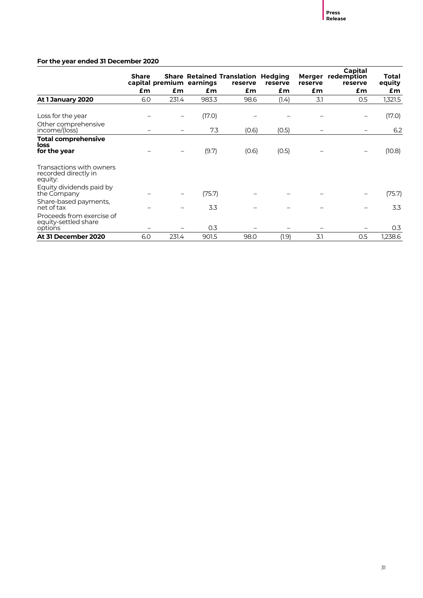#### **For the year ended 31 December 2020**

|                                                              | <b>Share</b> |       | capital premium earnings | <b>Share Retained Translation Hedging</b><br>reserve | reserve | reserve | Capital<br>Merger redemption<br>reserve | Total<br>equity |
|--------------------------------------------------------------|--------------|-------|--------------------------|------------------------------------------------------|---------|---------|-----------------------------------------|-----------------|
|                                                              | £m           | £m    | £m                       | £m                                                   | £m      | £m      | £m                                      | £m              |
| At 1 January 2020                                            | 6.0          | 231.4 | 983.3                    | 98.6                                                 | (1.4)   | 3.1     | 0.5                                     | 1,321.5         |
| Loss for the year                                            |              |       | (17.0)                   |                                                      |         |         |                                         | (17.0)          |
| Other comprehensive<br>income/(loss)                         |              |       | 7.3                      | (0.6)                                                | (0.5)   |         |                                         | 6.2             |
| <b>Total comprehensive</b><br>loss<br>for the year           |              |       | (9.7)                    | (0.6)                                                | (O.5)   |         |                                         | (10.8)          |
| Transactions with owners<br>recorded directly in<br>equity:  |              |       |                          |                                                      |         |         |                                         |                 |
| Equity dividends paid by<br>the Company                      |              |       | (75.7)                   |                                                      |         |         |                                         | (75.7)          |
| Share-based payments,<br>net of tax                          |              |       | 3.3                      |                                                      |         |         |                                         | 3.3             |
| Proceeds from exercise of<br>equity-settled share<br>options |              |       | 0.3                      |                                                      |         |         |                                         | 0.3             |
| At 31 December 2020                                          | 6.0          | 231.4 | 901.5                    | 98.0                                                 | (1.9)   | 3.1     | 0.5                                     | 1,238.6         |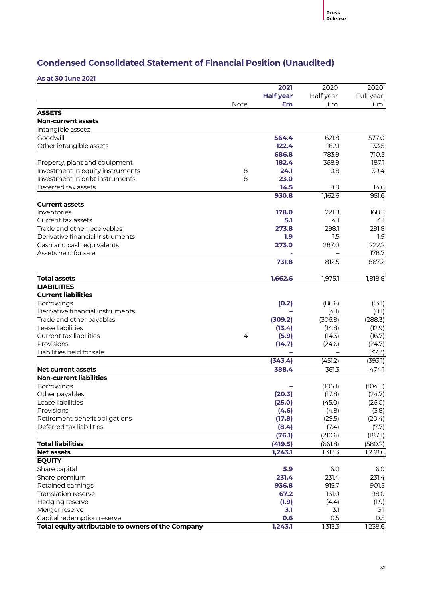# **Condensed Consolidated Statement of Financial Position (Unaudited)**

**As at 30 June 2021**

|                                                    |             | 2021             | 2020      | 2020      |
|----------------------------------------------------|-------------|------------------|-----------|-----------|
|                                                    |             | <b>Half year</b> | Half year | Full year |
|                                                    | <b>Note</b> | £m               | £m        | £m        |
| <b>ASSETS</b>                                      |             |                  |           |           |
| <b>Non-current assets</b>                          |             |                  |           |           |
| Intangible assets:                                 |             |                  |           |           |
| Goodwill                                           |             | 564.4            | 621.8     | 577.0     |
| Other intangible assets                            |             | 122.4            | 162.1     | 133.5     |
|                                                    |             | 686.8            | 783.9     | 710.5     |
| Property, plant and equipment                      |             | 182.4            | 368.9     | 187.1     |
| Investment in equity instruments                   | 8           | 24.1             | 0.8       | 39.4      |
| Investment in debt instruments                     | 8           | 23.0             |           |           |
| Deferred tax assets                                |             | 14.5             | 9.0       | 14.6      |
|                                                    |             | 930.8            | 1,162.6   | 951.6     |
| <b>Current assets</b>                              |             |                  |           |           |
| Inventories                                        |             | 178.0            | 221.8     | 168.5     |
| Current tax assets                                 |             | 5.1              | 4.1       | 4.1       |
| Trade and other receivables                        |             | 273.8            | 298.1     | 291.8     |
| Derivative financial instruments                   |             | 1.9              | 1.5       | 1.9       |
| Cash and cash equivalents                          |             | 273.0            | 287.0     | 222.2     |
| Assets held for sale                               |             |                  |           | 178.7     |
|                                                    |             | 731.8            | 812.5     | 867.2     |
| <b>Total assets</b>                                |             | 1,662.6          | 1,975.1   | 1,818.8   |
| <b>LIABILITIES</b>                                 |             |                  |           |           |
| <b>Current liabilities</b>                         |             |                  |           |           |
| <b>Borrowings</b>                                  |             | (0.2)            | (86.6)    | (13.1)    |
| Derivative financial instruments                   |             |                  | (4.1)     | (O.1)     |
| Trade and other payables                           |             | (309.2)          | (306.8)   | (288.3)   |
| Lease liabilities                                  |             | (13.4)           | (14.8)    | (12.9)    |
| Current tax liabilities                            | 4           | (5.9)            | (14.3)    | (16.7)    |
| Provisions                                         |             | (14.7)           | (24.6)    | (24.7)    |
| Liabilities held for sale                          |             |                  |           | (37.3)    |
|                                                    |             | (343.4)          | (451.2)   | (393.1)   |
| <b>Net current assets</b>                          |             | 388.4            | 361.3     | 474.1     |
| <b>Non-current liabilities</b>                     |             |                  |           |           |
| Borrowings                                         |             |                  | (106.1)   | (104.5)   |
| Other payables                                     |             | (20.3)           | (17.8)    | (24.7)    |
| Lease liabilities                                  |             | (25.0)           | (45.0)    | (26.0)    |
| Provisions                                         |             | (4.6)            | (4.8)     | (3.8)     |
| Retirement benefit obligations                     |             | (17.8)           | (29.5)    | (20.4)    |
| Deferred tax liabilities                           |             | (8.4)            | (7.4)     | (7.7)     |
|                                                    |             | (76.1)           | (210.6)   | (187.1)   |
| <b>Total liabilities</b>                           |             | (419.5)          | (661.8)   | (580.2)   |
| <b>Net assets</b>                                  |             | 1,243.1          | 1,313.3   | 1,238.6   |
| <b>EQUITY</b>                                      |             |                  |           |           |
| Share capital                                      |             | 5.9              | 6.0       | 6.0       |
| Share premium                                      |             | 231.4            | 231.4     | 231.4     |
| Retained earnings                                  |             | 936.8            | 915.7     | 901.5     |
| Translation reserve                                |             | 67.2             | 161.0     | 98.0      |
| Hedging reserve                                    |             | (1.9)            | (4.4)     | (1.9)     |
| Merger reserve                                     |             | 3.1              | 3.1       | 3.1       |
| Capital redemption reserve                         |             | 0.6              | 0.5       | 0.5       |
| Total equity attributable to owners of the Company |             | 1,243.1          | 1,313.3   | 1,238.6   |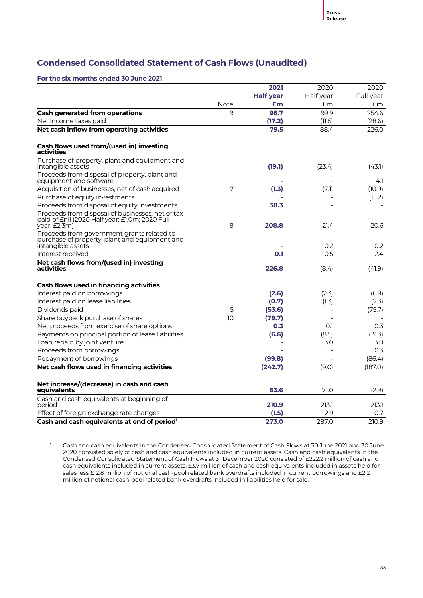# **Condensed Consolidated Statement of Cash Flows (Unaudited)**

**For the six months ended 30 June 2021**

|                                                                                                                    |      | 2021             | 2020      | 2020      |
|--------------------------------------------------------------------------------------------------------------------|------|------------------|-----------|-----------|
|                                                                                                                    |      | <b>Half year</b> | Half year | Full year |
|                                                                                                                    | Note | £m               | Em        | £m        |
| <b>Cash generated from operations</b>                                                                              | 9    | 96.7             | 99.9      | 254.6     |
| Net income taxes paid                                                                                              |      | (17.2)           | (11.5)    | (28.6)    |
| Net cash inflow from operating activities                                                                          |      | 79.5             | 88.4      | 226.0     |
| Cash flows used from/(used in) investing<br>activities                                                             |      |                  |           |           |
| Purchase of property, plant and equipment and<br>intangible assets                                                 |      | (19.1)           | (23.4)    | (43.1)    |
| Proceeds from disposal of property, plant and<br>equipment and software                                            |      |                  |           | 4.1       |
| Acquisition of businesses, net of cash acquired                                                                    | 7    | (1.3)            | (7.1)     | (10.9)    |
| Purchase of equity investments                                                                                     |      |                  |           | (15.2)    |
| Proceeds from disposal of equity investments                                                                       |      | 38.3             |           |           |
| Proceeds from disposal of businesses, net of tax<br>paid of £nil (2020 Half year: £1.0m; 2020 Full<br>year: £2.3m) | 8    | 208.8            | 21.4      | 20.6      |
| Proceeds from government grants related to<br>purchase of property, plant and equipment and<br>intangible assets   |      |                  | 0.2       | 0.2       |
| Interest received                                                                                                  |      | 0.1              | 0.5       | 2.4       |
| Net cash flows from/(used in) investing<br>activities                                                              |      | 226.8            | (8.4)     | (41.9)    |
|                                                                                                                    |      |                  |           |           |
| <b>Cash flows used in financing activities</b>                                                                     |      |                  |           |           |
| Interest paid on borrowings                                                                                        |      | (2.6)            | (2.3)     | (6.9)     |
| Interest paid on lease liabilities                                                                                 |      | (0.7)            | (1.3)     | (2.3)     |
| Dividends paid                                                                                                     | 5    | (53.6)           |           | (75.7)    |
| Share buyback purchase of shares                                                                                   | 10   | (79.7)           |           |           |
| Net proceeds from exercise of share options                                                                        |      | 0.3              | 0.1       | 0.3       |
| Payments on principal portion of lease liabilities                                                                 |      | (6.6)            | (8.5)     | (19.3)    |
| Loan repaid by joint venture                                                                                       |      |                  | 3.0       | 3.0       |
| Proceeds from borrowings                                                                                           |      |                  |           | 0.3       |
| Repayment of borrowings                                                                                            |      | (99.8)           |           | (86.4)    |
| Net cash flows used in financing activities                                                                        |      | (242.7)          | (9.0)     | (187.0)   |
| Net increase/(decrease) in cash and cash<br>equivalents                                                            |      | 63.6             | 71.0      | (2.9)     |
| Cash and cash equivalents at beginning of                                                                          |      |                  |           |           |
| period                                                                                                             |      | 210.9            | 213.1     | 213.1     |
| Effect of foreign exchange rate changes                                                                            |      | (1.5)            | 2.9       | 0.7       |
| Cash and cash equivalents at end of period <sup>1</sup>                                                            |      | 273.0            | 287.0     | 210.9     |

1. Cash and cash equivalents in the Condensed Consolidated Statement of Cash Flows at 30 June 2021 and 30 June 2020 consisted solely of cash and cash equivalents included in current assets. Cash and cash equivalents in the Condensed Consolidated Statement of Cash Flows at 31 December 2020 consisted of £222.2 million of cash and cash equivalents included in current assets, £3.7 million of cash and cash equivalents included in assets held for sales less £12.8 million of notional cash-pool related bank overdrafts included in current borrowings and £2.2 million of notional cash-pool related bank overdrafts included in liabilities held for sale.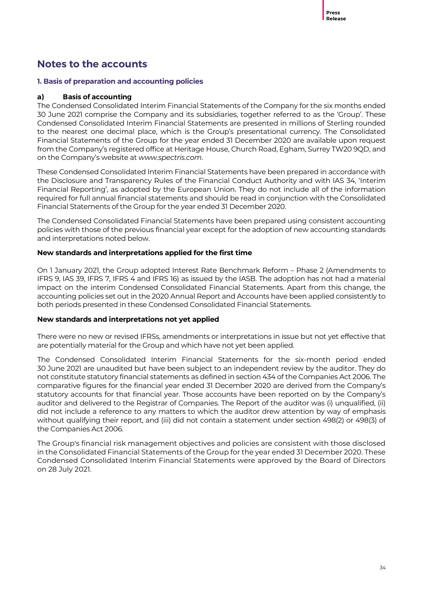# **Notes to the accounts**

#### **1. Basis of preparation and accounting policies**

#### **a) Basis of accounting**

The Condensed Consolidated Interim Financial Statements of the Company for the six months ended 30 June 2021 comprise the Company and its subsidiaries, together referred to as the 'Group'. These Condensed Consolidated Interim Financial Statements are presented in millions of Sterling rounded to the nearest one decimal place, which is the Group's presentational currency. The Consolidated Financial Statements of the Group for the year ended 31 December 2020 are available upon request from the Company's registered office at Heritage House, Church Road, Egham, Surrey TW20 9QD, and on the Company's website at *www.spectris.com*.

These Condensed Consolidated Interim Financial Statements have been prepared in accordance with the Disclosure and Transparency Rules of the Financial Conduct Authority and with IAS 34, 'Interim Financial Reporting', as adopted by the European Union. They do not include all of the information required for full annual financial statements and should be read in conjunction with the Consolidated Financial Statements of the Group for the year ended 31 December 2020.

The Condensed Consolidated Financial Statements have been prepared using consistent accounting policies with those of the previous financial year except for the adoption of new accounting standards and interpretations noted below.

#### **New standards and interpretations applied for the first time**

On 1 January 2021, the Group adopted Interest Rate Benchmark Reform – Phase 2 (Amendments to IFRS 9, IAS 39, IFRS 7, IFRS 4 and IFRS 16) as issued by the IASB. The adoption has not had a material impact on the interim Condensed Consolidated Financial Statements. Apart from this change, the accounting policies set out in the 2020 Annual Report and Accounts have been applied consistently to both periods presented in these Condensed Consolidated Financial Statements.

#### **New standards and interpretations not yet applied**

There were no new or revised IFRSs, amendments or interpretations in issue but not yet effective that are potentially material for the Group and which have not yet been applied.

The Condensed Consolidated Interim Financial Statements for the six-month period ended 30 June 2021 are unaudited but have been subject to an independent review by the auditor. They do not constitute statutory financial statements as defined in section 434 of the Companies Act 2006. The comparative figures for the financial year ended 31 December 2020 are derived from the Company's statutory accounts for that financial year. Those accounts have been reported on by the Company's auditor and delivered to the Registrar of Companies. The Report of the auditor was (i) unqualified, (ii) did not include a reference to any matters to which the auditor drew attention by way of emphasis without qualifying their report, and (iii) did not contain a statement under section 498(2) or 498(3) of the Companies Act 2006.

The Group's financial risk management objectives and policies are consistent with those disclosed in the Consolidated Financial Statements of the Group for the year ended 31 December 2020. These Condensed Consolidated Interim Financial Statements were approved by the Board of Directors on 28 July 2021.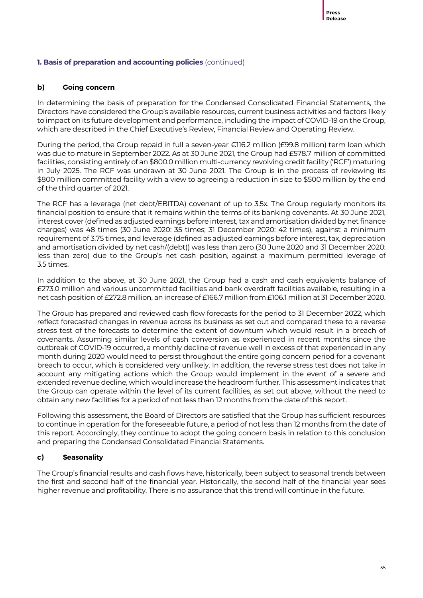#### **1. Basis of preparation and accounting policies** (continued)

#### **b) Going concern**

In determining the basis of preparation for the Condensed Consolidated Financial Statements, the Directors have considered the Group's available resources, current business activities and factors likely to impact on its future development and performance, including the impact of COVID-19 on the Group, which are described in the Chief Executive's Review, Financial Review and Operating Review.

During the period, the Group repaid in full a seven-year €116.2 million (£99.8 million) term loan which was due to mature in September 2022. As at 30 June 2021, the Group had £578.7 million of committed facilities, consisting entirely of an \$800.0 million multi-currency revolving credit facility ('RCF') maturing in July 2025. The RCF was undrawn at 30 June 2021. The Group is in the process of reviewing its \$800 million committed facility with a view to agreeing a reduction in size to \$500 million by the end of the third quarter of 2021.

The RCF has a leverage (net debt/EBITDA) covenant of up to 3.5x. The Group regularly monitors its financial position to ensure that it remains within the terms of its banking covenants. At 30 June 2021, interest cover (defined as adjusted earnings before interest, tax and amortisation divided by net finance charges) was 48 times (30 June 2020: 35 times; 31 December 2020: 42 times), against a minimum requirement of 3.75 times, and leverage (defined as adjusted earnings before interest, tax, depreciation and amortisation divided by net cash/(debt)) was less than zero (30 June 2020 and 31 December 2020: less than zero) due to the Group's net cash position, against a maximum permitted leverage of 3.5 times.

In addition to the above, at 30 June 2021, the Group had a cash and cash equivalents balance of £273.0 million and various uncommitted facilities and bank overdraft facilities available, resulting in a net cash position of £272.8 million, an increase of £166.7 million from £106.1 million at 31 December 2020.

The Group has prepared and reviewed cash flow forecasts for the period to 31 December 2022, which reflect forecasted changes in revenue across its business as set out and compared these to a reverse stress test of the forecasts to determine the extent of downturn which would result in a breach of covenants. Assuming similar levels of cash conversion as experienced in recent months since the outbreak of COVID-19 occurred, a monthly decline of revenue well in excess of that experienced in any month during 2020 would need to persist throughout the entire going concern period for a covenant breach to occur, which is considered very unlikely. In addition, the reverse stress test does not take in account any mitigating actions which the Group would implement in the event of a severe and extended revenue decline, which would increase the headroom further. This assessment indicates that the Group can operate within the level of its current facilities, as set out above, without the need to obtain any new facilities for a period of not less than 12 months from the date of this report.

Following this assessment, the Board of Directors are satisfied that the Group has sufficient resources to continue in operation for the foreseeable future, a period of not less than 12 months from the date of this report. Accordingly, they continue to adopt the going concern basis in relation to this conclusion and preparing the Condensed Consolidated Financial Statements.

#### **c) Seasonality**

The Group's financial results and cash flows have, historically, been subject to seasonal trends between the first and second half of the financial year. Historically, the second half of the financial year sees higher revenue and profitability. There is no assurance that this trend will continue in the future.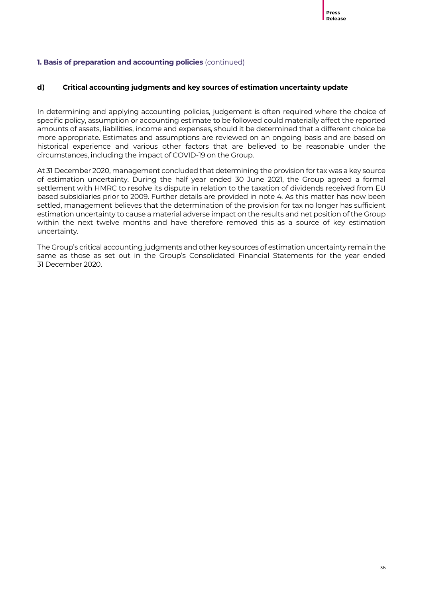#### **1. Basis of preparation and accounting policies** (continued)

#### **d) Critical accounting judgments and key sources of estimation uncertainty update**

In determining and applying accounting policies, judgement is often required where the choice of specific policy, assumption or accounting estimate to be followed could materially affect the reported amounts of assets, liabilities, income and expenses, should it be determined that a different choice be more appropriate. Estimates and assumptions are reviewed on an ongoing basis and are based on historical experience and various other factors that are believed to be reasonable under the circumstances, including the impact of COVID-19 on the Group.

At 31 December 2020, management concluded that determining the provision for tax was a key source of estimation uncertainty. During the half year ended 30 June 2021, the Group agreed a formal settlement with HMRC to resolve its dispute in relation to the taxation of dividends received from EU based subsidiaries prior to 2009. Further details are provided in note 4. As this matter has now been settled, management believes that the determination of the provision for tax no longer has sufficient estimation uncertainty to cause a material adverse impact on the results and net position of the Group within the next twelve months and have therefore removed this as a source of key estimation uncertainty.

The Group's critical accounting judgments and other key sources of estimation uncertainty remain the same as those as set out in the Group's Consolidated Financial Statements for the year ended 31 December 2020.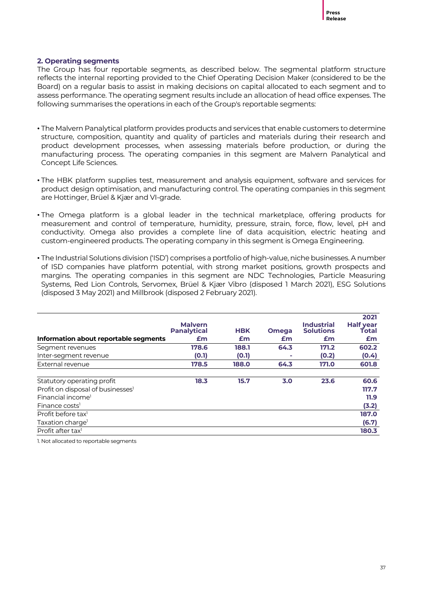#### **2. Operating segments**

The Group has four reportable segments, as described below. The segmental platform structure reflects the internal reporting provided to the Chief Operating Decision Maker (considered to be the Board) on a regular basis to assist in making decisions on capital allocated to each segment and to assess performance. The operating segment results include an allocation of head office expenses. The following summarises the operations in each of the Group's reportable segments:

- The Malvern Panalytical platform provides products and services that enable customers to determine structure, composition, quantity and quality of particles and materials during their research and product development processes, when assessing materials before production, or during the manufacturing process. The operating companies in this segment are Malvern Panalytical and Concept Life Sciences.
- The HBK platform supplies test, measurement and analysis equipment, software and services for product design optimisation, and manufacturing control. The operating companies in this segment are Hottinger, Brüel & Kjær and VI-grade.
- The Omega platform is a global leader in the technical marketplace, offering products for measurement and control of temperature, humidity, pressure, strain, force, flow, level, pH and conductivity. Omega also provides a complete line of data acquisition, electric heating and custom-engineered products. The operating company in this segment is Omega Engineering.
- The Industrial Solutions division ('ISD') comprises a portfolio of high-value, niche businesses. A number of ISD companies have platform potential, with strong market positions, growth prospects and margins. The operating companies in this segment are NDC Technologies, Particle Measuring Systems, Red Lion Controls, Servomex, Brüel & Kjær Vibro (disposed 1 March 2021), ESG Solutions (disposed 3 May 2021) and Millbrook (disposed 2 February 2021).

|                                               | <b>Malvern</b><br><b>Panalytical</b> | <b>HBK</b> | <b>Omega</b> | <b>Industrial</b><br><b>Solutions</b> | 2021<br><b>Half year</b><br>Total |
|-----------------------------------------------|--------------------------------------|------------|--------------|---------------------------------------|-----------------------------------|
| Information about reportable segments         | £m                                   | £m         | £m           | £m                                    | £m                                |
| Segment revenues                              | 178.6                                | 188.1      | 64.3         | 171.2                                 | 602.2                             |
| Inter-segment revenue                         | (0.1)                                | (0.1)      |              | (0.2)                                 | (0.4)                             |
| External revenue                              | 178.5                                | 188.0      | 64.3         | 171.0                                 | 601.8                             |
| Statutory operating profit                    | 18.3                                 | 15.7       | 3.0          | 23.6                                  | 60.6                              |
| Profit on disposal of businesses <sup>1</sup> |                                      |            |              |                                       | 117.7                             |
| Financial income <sup>1</sup>                 |                                      |            |              |                                       | 11.9                              |
| Finance costs <sup>1</sup>                    |                                      |            |              |                                       | (3.2)                             |
| Profit before tax <sup>1</sup>                |                                      |            |              |                                       | 187.0                             |
| Taxation charge <sup>1</sup>                  |                                      |            |              |                                       | (6.7)                             |
| Profit after tax <sup>1</sup>                 |                                      |            |              |                                       | 180.3                             |

1. Not allocated to reportable segments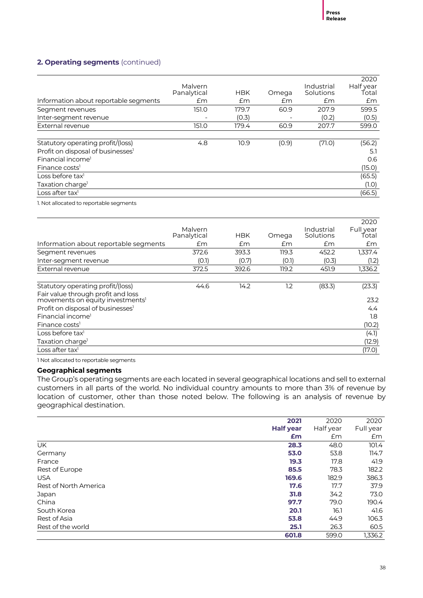#### **2. Operating segments** (continued)

|                                               |             |            |       |            | 2020      |
|-----------------------------------------------|-------------|------------|-------|------------|-----------|
|                                               | Malvern     |            |       | Industrial | Half year |
|                                               | Panalytical | <b>HBK</b> | Omega | Solutions  | Total     |
| Information about reportable segments         | £m          | Em         | Em    | £m         | £m        |
| Segment revenues                              | 151.0       | 179.7      | 60.9  | 207.9      | 599.5     |
| Inter-segment revenue                         |             | (0.3)      |       | (0.2)      | (0.5)     |
| External revenue                              | 151.0       | 179.4      | 60.9  | 207.7      | 599.0     |
|                                               |             |            |       |            |           |
| Statutory operating profit/(loss)             | 4.8         | 10.9       | (0.9) | (71.0)     | (56.2)    |
| Profit on disposal of businesses <sup>1</sup> |             |            |       |            | 5.1       |
| Financial income <sup>1</sup>                 |             |            |       |            | 0.6       |
| Finance costs <sup>1</sup>                    |             |            |       |            | (15.0)    |
| Loss before tax $l$                           |             |            |       |            | (65.5)    |
| Taxation charge <sup>1</sup>                  |             |            |       |            | (1.0)     |
| Loss after tax <sup>1</sup>                   |             |            |       |            | (66.5)    |

1. Not allocated to reportable segments

|                                                                                    |                        |            |       |                         | 2020               |
|------------------------------------------------------------------------------------|------------------------|------------|-------|-------------------------|--------------------|
|                                                                                    | Malvern<br>Panalytical | <b>HBK</b> | Omega | Industrial<br>Solutions | Full year<br>Total |
| Information about reportable segments                                              | £m                     | Em         | £m    | £m                      | £m                 |
| Segment revenues                                                                   | 372.6                  | 393.3      | 119.3 | 452.2                   | 1,337.4            |
| Inter-segment revenue                                                              | (0.1)                  | (0.7)      | (0.1) | (0.3)                   | (1.2)              |
| External revenue                                                                   | 372.5                  | 392.6      | 119.2 | 451.9                   | 1,336.2            |
| Statutory operating profit/(loss)                                                  | 44.6                   | 14.2       | 1.2   | (83.3)                  | (23.3)             |
| Fair value through profit and loss<br>movements on equity investments <sup>1</sup> |                        |            |       |                         | 23.2               |
| Profit on disposal of businesses <sup>1</sup>                                      |                        |            |       |                         | $4.4^{\circ}$      |
| Financial income <sup>1</sup>                                                      |                        |            |       |                         | 1.8                |
| Finance costs <sup>1</sup>                                                         |                        |            |       |                         | (10.2)             |
| Loss before tax <sup>1</sup>                                                       |                        |            |       |                         | (4.1)              |
| Taxation charge <sup>1</sup>                                                       |                        |            |       |                         | (12.9)             |
| Loss after tax <sup>1</sup>                                                        |                        |            |       |                         | (17.0)             |

1 Not allocated to reportable segments

#### **Geographical segments**

The Group's operating segments are each located in several geographical locations and sell to external customers in all parts of the world. No individual country amounts to more than 3% of revenue by location of customer, other than those noted below. The following is an analysis of revenue by geographical destination.

|                       | 2021             | 2020      | 2020      |
|-----------------------|------------------|-----------|-----------|
|                       | <b>Half year</b> | Half year | Full year |
|                       | £m               | £m        | £m        |
| UK.                   | 28.3             | 48.0      | 101.4     |
| Germany               | 53.0             | 53.8      | 114.7     |
| France                | 19.3             | 17.8      | 41.9      |
| Rest of Europe        | 85.5             | 78.3      | 182.2     |
| <b>USA</b>            | 169.6            | 182.9     | 386.3     |
| Rest of North America | 17.6             | 17.7      | 37.9      |
| Japan                 | 31.8             | 34.2      | 73.0      |
| China                 | 97.7             | 79.0      | 190.4     |
| South Korea           | 20.1             | 16.1      | 41.6      |
| Rest of Asia          | 53.8             | 44.9      | 106.3     |
| Rest of the world     | 25.1             | 26.3      | 60.5      |
|                       | 601.8            | 599.0     | 1.336.2   |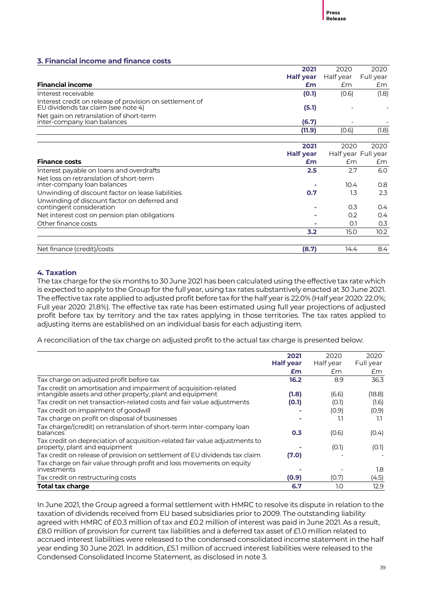#### **3. Financial income and finance costs**

|                                                                                                 | 2021             | 2020      | 2020                |
|-------------------------------------------------------------------------------------------------|------------------|-----------|---------------------|
|                                                                                                 | <b>Half year</b> | Half year | Full year           |
| <b>Financial income</b>                                                                         | £m               | £m        | £m                  |
| Interest receivable                                                                             | (0.1)            | (0.6)     | (1.8)               |
| Interest credit on release of provision on settlement of<br>EU dividends tax claim (see note 4) | (5.1)            |           |                     |
| Net gain on retranslation of short-term<br>inter-company loan balances                          | (6.7)            |           |                     |
|                                                                                                 | (11.9)           | (0.6)     | (1.8)               |
|                                                                                                 |                  |           |                     |
|                                                                                                 | 2021             | 2020      | 2020                |
|                                                                                                 | <b>Half year</b> |           | Half year Full year |
| <b>Finance costs</b>                                                                            | £m               | £m        | Em                  |
| Interest payable on loans and overdrafts                                                        | 2.5              | 2.7       | 6.0                 |
| Net loss on retranslation of short-term<br>inter-company loan balances                          |                  | 10.4      | 0.8                 |
| Unwinding of discount factor on lease liabilities                                               | 0.7              | 1.3       | 2.3                 |
| Unwinding of discount factor on deferred and<br>contingent consideration                        |                  | 0.3       | 0.4 <sub>2</sub>    |
| Net interest cost on pension plan obligations                                                   |                  | 0.2       | 0.4                 |
| Other finance costs                                                                             |                  | O.1       | 0.3                 |
|                                                                                                 | 3.2              | 15.0      | 10.2                |
|                                                                                                 |                  |           |                     |
| Net finance (credit)/costs                                                                      | (8.7)            | 14.4      | 8.4                 |

#### **4. Taxation**

The tax charge for the six months to 30 June 2021 has been calculated using the effective tax rate which is expected to apply to the Group for the full year, using tax rates substantively enacted at 30 June 2021. The effective tax rate applied to adjusted profit before tax for the half year is 22.0% (Half year 2020: 22.0%; Full year 2020: 21.8%). The effective tax rate has been estimated using full year projections of adjusted profit before tax by territory and the tax rates applying in those territories. The tax rates applied to adjusting items are established on an individual basis for each adjusting item.

A reconciliation of the tax charge on adjusted profit to the actual tax charge is presented below:

|                                                                                                                               | 2021             | 2020      | 2020      |
|-------------------------------------------------------------------------------------------------------------------------------|------------------|-----------|-----------|
|                                                                                                                               | <b>Half year</b> | Half year | Full year |
|                                                                                                                               | £m               | £m        | £m        |
| Tax charge on adjusted profit before tax                                                                                      | 16.2             | 8.9       | 36.3      |
| Tax credit on amortisation and impairment of acquisition-related<br>intangible assets and other property, plant and equipment | (1.8)            | (6.6)     | (18.8)    |
| Tax credit on net transaction-related costs and fair value adjustments                                                        | (0.1)            | (O.1)     | (1.6)     |
| Tax credit on impairment of goodwill                                                                                          |                  | (0.9)     | (0.9)     |
| Tax charge on profit on disposal of businesses                                                                                |                  | 1.1       | 1.1       |
| Tax charge/(credit) on retranslation of short-term inter-company loan<br>balances                                             | 0.3              | (0.6)     | (0.4)     |
| Tax credit on depreciation of acquisition-related fair value adjustments to<br>property, plant and equipment                  |                  | (0.1)     | (0.1)     |
| Tax credit on release of provision on settlement of EU dividends tax claim                                                    | (7.0)            |           |           |
| Tax charge on fair value through profit and loss movements on equity<br>investments                                           |                  |           | 1.8       |
| Tax credit on restructuring costs                                                                                             | (0.9)            | (0.7)     | (4.5)     |
| <b>Total tax charge</b>                                                                                                       | 6.7              | 1.0       | 12.9      |

In June 2021, the Group agreed a formal settlement with HMRC to resolve its dispute in relation to the taxation of dividends received from EU based subsidiaries prior to 2009. The outstanding liability agreed with HMRC of £0.3 million of tax and £0.2 million of interest was paid in June 2021. As a result, £8.0 million of provision for current tax liabilities and a deferred tax asset of £1.0 million related to accrued interest liabilities were released to the condensed consolidated income statement in the half year ending 30 June 2021. In addition, £5.1 million of accrued interest liabilities were released to the Condensed Consolidated Income Statement, as disclosed in note 3.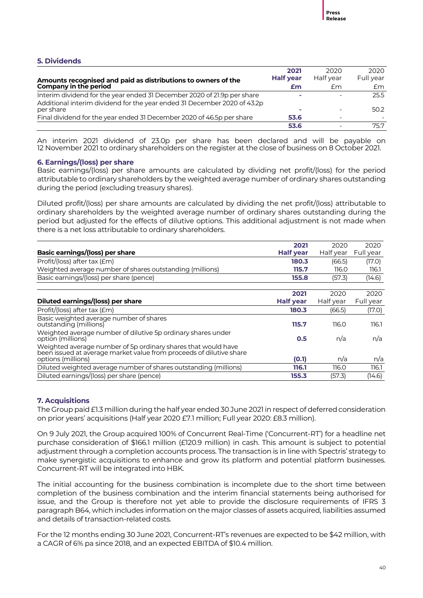#### **5. Dividends**

|                                                                                       | 2021             | 2020      | 2020      |
|---------------------------------------------------------------------------------------|------------------|-----------|-----------|
| Amounts recognised and paid as distributions to owners of the                         | <b>Half year</b> | Half year | Full year |
| Company in the period                                                                 | £m               | £m        | £m        |
| Interim dividend for the year ended 31 December 2020 of 21.9p per share               | $\mathbf{r}$     |           | 25.5      |
| Additional interim dividend for the year ended 31 December 2020 of 43.2p<br>per share | o.               | -         | 50.2      |
| Final dividend for the year ended 31 December 2020 of 46.5p per share                 | 53.6             | -         |           |
|                                                                                       | 53.6             |           | 75.7      |

An interim 2021 dividend of 23.0p per share has been declared and will be payable on 12 November 2021 to ordinary shareholders on the register at the close of business on 8 October 2021.

#### **6. Earnings/(loss) per share**

Basic earnings/(loss) per share amounts are calculated by dividing net profit/(loss) for the period attributable to ordinary shareholders by the weighted average number of ordinary shares outstanding during the period (excluding treasury shares).

Diluted profit/(loss) per share amounts are calculated by dividing the net profit/(loss) attributable to ordinary shareholders by the weighted average number of ordinary shares outstanding during the period but adjusted for the effects of dilutive options. This additional adjustment is not made when there is a net loss attributable to ordinary shareholders.

|                                                                                                                                                            | 2021             | 2020      | 2020      |
|------------------------------------------------------------------------------------------------------------------------------------------------------------|------------------|-----------|-----------|
| <b>Basic earnings/(loss) per share</b>                                                                                                                     | <b>Half year</b> | Half year | Full year |
| Profit/(loss) after tax (£m)                                                                                                                               | 180.3            | (66.5)    | (17.0)    |
| Weighted average number of shares outstanding (millions)                                                                                                   | 115.7            | 116.0     | 116.1     |
| Basic earnings/(loss) per share (pence)                                                                                                                    | 155.8            | (57.3)    | (14.6)    |
|                                                                                                                                                            | 2021             | 2020      | 2020      |
| Diluted earnings/(loss) per share                                                                                                                          | <b>Half year</b> | Half year | Full year |
| Profit/(loss) after tax $(fm)$                                                                                                                             | 180.3            | (66.5)    | (17.0)    |
| Basic weighted average number of shares<br>outstanding (millions)                                                                                          | 115.7            | 116.0     | 116.1     |
| Weighted average number of dilutive 5p ordinary shares under<br>option (millions)                                                                          | 0.5              | n/a       | n/a       |
| Weighted average number of 5p ordinary shares that would have<br>been issued at average market value from proceeds of dilutive share<br>options (millions) | (0.1)            |           |           |
|                                                                                                                                                            |                  | n/a       | n/a       |
| Diluted weighted average number of shares outstanding (millions)                                                                                           | 116.1            | 116.0     | 116.1     |
| Diluted earnings/(loss) per share (pence)                                                                                                                  | 155.3            | (57.3)    | (14.6)    |

#### **7. Acquisitions**

The Group paid £1.3 million during the half year ended 30 June 2021 in respect of deferred consideration on prior years' acquisitions (Half year 2020 £7.1 million; Full year 2020: £8.3 million).

On 9 July 2021, the Group acquired 100% of Concurrent Real-Time ('Concurrent-RT') for a headline net purchase consideration of \$166.1 million (£120.9 million) in cash. This amount is subject to potential adjustment through a completion accounts process. The transaction is in line with Spectris' strategy to make synergistic acquisitions to enhance and grow its platform and potential platform businesses. Concurrent-RT will be integrated into HBK.

The initial accounting for the business combination is incomplete due to the short time between completion of the business combination and the interim financial statements being authorised for issue, and the Group is therefore not yet able to provide the disclosure requirements of IFRS 3 paragraph B64, which includes information on the major classes of assets acquired, liabilities assumed and details of transaction-related costs.

For the 12 months ending 30 June 2021, Concurrent-RT's revenues are expected to be \$42 million, with a CAGR of 6% pa since 2018, and an expected EBITDA of \$10.4 million.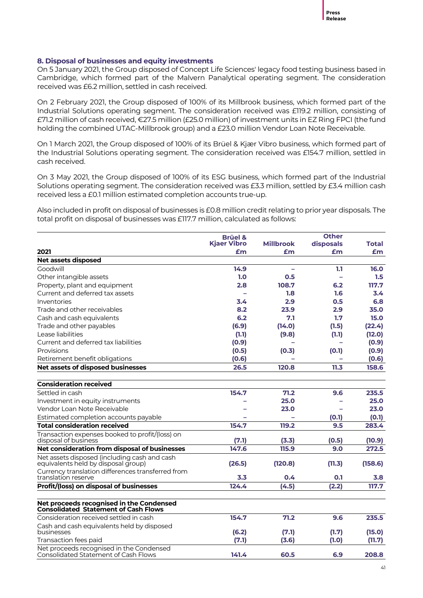#### **8. Disposal of businesses and equity investments**

On 5 January 2021, the Group disposed of Concept Life Sciences' legacy food testing business based in Cambridge, which formed part of the Malvern Panalytical operating segment. The consideration received was £6.2 million, settled in cash received.

On 2 February 2021, the Group disposed of 100% of its Millbrook business, which formed part of the Industrial Solutions operating segment. The consideration received was £119.2 million, consisting of £71.2 million of cash received, €27.5 million (£25.0 million) of investment units in EZ Ring FPCI (the fund holding the combined UTAC-Millbrook group) and a £23.0 million Vendor Loan Note Receivable.

On 1 March 2021, the Group disposed of 100% of its Brüel & Kjær Vibro business, which formed part of the Industrial Solutions operating segment. The consideration received was £154.7 million, settled in cash received.

On 3 May 2021, the Group disposed of 100% of its ESG business, which formed part of the Industrial Solutions operating segment. The consideration received was £3.3 million, settled by £3.4 million cash received less a £0.1 million estimated completion accounts true-up.

Also included in profit on disposal of businesses is £0.8 million credit relating to prior year disposals. The total profit on disposal of businesses was £117.7 million, calculated as follows:

|                                                                                         | <b>Brüel &amp;</b> |                  | <b>Other</b> |         |
|-----------------------------------------------------------------------------------------|--------------------|------------------|--------------|---------|
|                                                                                         | <b>Kiaer Vibro</b> | <b>Millbrook</b> | disposals    | Total   |
| 2021                                                                                    | £m                 | £m               | £m           | £m      |
| Net assets disposed                                                                     |                    |                  |              |         |
| Goodwill                                                                                | 14.9               | L.               | 1.1          | 16.0    |
| Other intangible assets                                                                 | 1.0                | 0.5              |              | 1.5     |
| Property, plant and equipment                                                           | 2.8                | 108.7            | 6.2          | 117.7   |
| Current and deferred tax assets                                                         | -                  | 1.8              | 1.6          | 3.4     |
| Inventories                                                                             | 3.4                | 2.9              | 0.5          | 6.8     |
| Trade and other receivables                                                             | 8.2                | 23.9             | 2.9          | 35.0    |
| Cash and cash equivalents                                                               | 6.2                | 7.1              | 1.7          | 15.0    |
| Trade and other payables                                                                | (6.9)              | (14.0)           | (1.5)        | (22.4)  |
| Lease liabilities                                                                       | (1.1)              | (9.8)            | (1.1)        | (12.0)  |
| Current and deferred tax liabilities                                                    | (0.9)              |                  |              | (0.9)   |
| Provisions                                                                              | (0.5)              | (0.3)            | (0.1)        | (0.9)   |
| Retirement benefit obligations                                                          | (0.6)              |                  |              | (0.6)   |
| Net assets of disposed businesses                                                       | 26.5               | 120.8            | 11.3         | 158.6   |
| <b>Consideration received</b>                                                           |                    |                  |              |         |
| Settled in cash                                                                         | 154.7              | 71.2             | 9.6          | 235.5   |
| Investment in equity instruments                                                        |                    | 25.0             |              | 25.0    |
| Vendor Loan Note Receivable                                                             |                    | 23.0             |              | 23.0    |
| Estimated completion accounts payable                                                   |                    |                  | (0.1)        | (0.1)   |
| <b>Total consideration received</b>                                                     | 154.7              | 119.2            | 9.5          | 283.4   |
| Transaction expenses booked to profit/(loss) on<br>disposal of business                 | (7.1)              | (3.3)            | (0.5)        | (10.9)  |
| Net consideration from disposal of businesses                                           | 147.6              | 115.9            | 9.0          | 272.5   |
| Net assets disposed (including cash and cash<br>equivalents held by disposal group)     | (26.5)             | (120.8)          | (11.3)       | (158.6) |
| Currency translation differences transferred from<br>translation reserve                | 3.3                | 0.4              | 0.1          | 3.8     |
| Profit/(loss) on disposal of businesses                                                 | 124.4              | (4.5)            | (2.2)        | 117.7   |
| Net proceeds recognised in the Condensed<br><b>Consolidated Statement of Cash Flows</b> |                    |                  |              |         |
| Consideration received settled in cash                                                  | 154.7              | 71.2             | 9.6          | 235.5   |
| Cash and cash equivalents held by disposed<br>businesses                                | (6.2)              | (7.1)            | (1.7)        | (15.0)  |
| Transaction fees paid                                                                   | (7.1)              | (3.6)            | (1.0)        | (11.7)  |
| Net proceeds recognised in the Condensed<br><b>Consolidated Statement of Cash Flows</b> | 141.4              | 60.5             | 6.9          | 208.8   |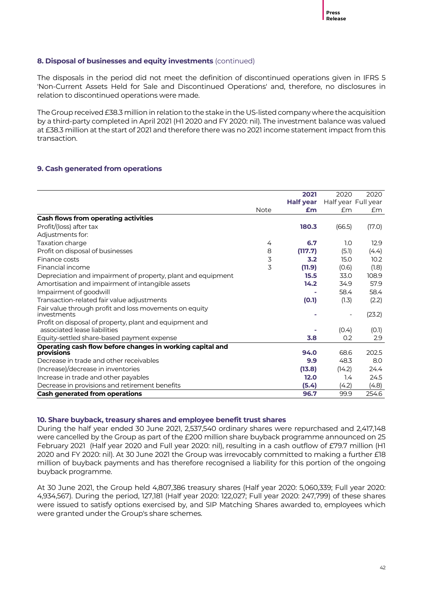#### **8. Disposal of businesses and equity investments** (continued)

The disposals in the period did not meet the definition of discontinued operations given in IFRS 5 'Non-Current Assets Held for Sale and Discontinued Operations' and, therefore, no disclosures in relation to discontinued operations were made.

The Group received £38.3 million in relation to the stake in the US-listed company where the acquisition by a third-party completed in April 2021 (H1 2020 and FY 2020: nil). The investment balance was valued at £38.3 million at the start of 2021 and therefore there was no 2021 income statement impact from this transaction.

#### **9. Cash generated from operations**

|                                                                                         |      | 2021             | 2020                | 2020   |
|-----------------------------------------------------------------------------------------|------|------------------|---------------------|--------|
|                                                                                         |      | <b>Half year</b> | Half year Full year |        |
|                                                                                         | Note | £m               | £m                  | £m     |
| <b>Cash flows from operating activities</b>                                             |      |                  |                     |        |
| Profit/(loss) after tax                                                                 |      | 180.3            | (66.5)              | (17.0) |
| Adjustments for:                                                                        |      |                  |                     |        |
| Taxation charge                                                                         | 4    | 6.7              | 1.0                 | 12.9   |
| Profit on disposal of businesses                                                        | 8    | (117.7)          | (5.1)               | (4.4)  |
| Finance costs                                                                           | 3    | 3.2              | 15.0                | 10.2   |
| Financial income                                                                        | 3    | (11.9)           | (0.6)               | (1.8)  |
| Depreciation and impairment of property, plant and equipment                            |      | 15.5             | 33.0                | 108.9  |
| Amortisation and impairment of intangible assets                                        |      | 14.2             | 34.9                | 57.9   |
| Impairment of goodwill                                                                  |      |                  | 58.4                | 58.4   |
| Transaction-related fair value adjustments                                              |      | (0.1)            | (1.3)               | (2.2)  |
| Fair value through profit and loss movements on equity<br>investments                   |      |                  |                     | (23.2) |
| Profit on disposal of property, plant and equipment and<br>associated lease liabilities |      |                  | (0.4)               | (0.1)  |
| Equity-settled share-based payment expense                                              |      | 3.8              | 0.2                 | 2.9    |
| Operating cash flow before changes in working capital and                               |      |                  |                     |        |
| provisions                                                                              |      | 94.0             | 68.6                | 202.5  |
| Decrease in trade and other receivables                                                 |      | 9.9              | 48.3                | 8.0    |
| (Increase)/decrease in inventories                                                      |      | (13.8)           | (14.2)              | 24.4   |
| Increase in trade and other payables                                                    |      | 12.0             | 1.4                 | 24.5   |
| Decrease in provisions and retirement benefits                                          |      | (5.4)            | (4.2)               | (4.8)  |
| <b>Cash generated from operations</b>                                                   |      | 96.7             | 99.9                | 254.6  |

#### **10. Share buyback, treasury shares and employee benefit trust shares**

During the half year ended 30 June 2021, 2,537,540 ordinary shares were repurchased and 2,417,148 were cancelled by the Group as part of the £200 million share buyback programme announced on 25 February 2021 (Half year 2020 and Full year 2020: nil), resulting in a cash outflow of £79.7 million (H1 2020 and FY 2020: nil). At 30 June 2021 the Group was irrevocably committed to making a further £18 million of buyback payments and has therefore recognised a liability for this portion of the ongoing buyback programme.

At 30 June 2021, the Group held 4,807,386 treasury shares (Half year 2020: 5,060,339; Full year 2020: 4,934,567). During the period, 127,181 (Half year 2020: 122,027; Full year 2020: 247,799) of these shares were issued to satisfy options exercised by, and SIP Matching Shares awarded to, employees which were granted under the Group's share schemes.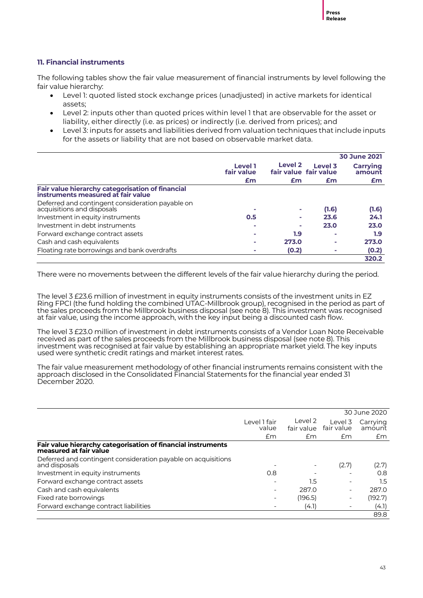#### **11. Financial instruments**

The following tables show the fair value measurement of financial instruments by level following the fair value hierarchy:

- Level 1: quoted listed stock exchange prices (unadjusted) in active markets for identical assets;
- Level 2: inputs other than quoted prices within level 1 that are observable for the asset or liability, either directly (i.e. as prices) or indirectly (i.e. derived from prices); and
- Level 3: inputs for assets and liabilities derived from valuation techniques that include inputs for the assets or liability that are not based on observable market data.

|                                                                                        |                       |                                             |         | <b>30 June 2021</b> |
|----------------------------------------------------------------------------------------|-----------------------|---------------------------------------------|---------|---------------------|
|                                                                                        | Level 1<br>fair value | Level <sub>2</sub><br>fair value fair value | Level 3 | Carrying<br>amount  |
|                                                                                        | £m                    | £m                                          | £m      | £m                  |
| Fair value hierarchy categorisation of financial<br>instruments measured at fair value |                       |                                             |         |                     |
| Deferred and contingent consideration payable on<br>acquisitions and disposals         |                       | ٠                                           | (1.6)   | (1.6)               |
| Investment in equity instruments                                                       | 0.5                   | ٠                                           | 23.6    | 24.1                |
| Investment in debt instruments                                                         |                       | o.                                          | 23.0    | 23.0                |
| Forward exchange contract assets                                                       |                       | 1.9                                         | -       | 1.9                 |
| Cash and cash equivalents                                                              |                       | 273.0                                       | -       | 273.0               |
| Floating rate borrowings and bank overdrafts                                           |                       | (0.2)                                       |         | (0.2)               |
|                                                                                        |                       |                                             |         | 320.2               |

There were no movements between the different levels of the fair value hierarchy during the period.

The level 3 £23.6 million of investment in equity instruments consists of the investment units in EZ Ring FPCI (the fund holding the combined UTAC-Millbrook group), recognised in the period as part of the sales proceeds from the Millbrook business disposal (see note 8). This investment was recognised at fair value, using the income approach, with the key input being a discounted cash flow.

The level 3 £23.0 million of investment in debt instruments consists of a Vendor Loan Note Receivable received as part of the sales proceeds from the Millbrook business disposal (see note 8). This investment was recognised at fair value by establishing an appropriate market yield. The key inputs used were synthetic credit ratings and market interest rates.

The fair value measurement methodology of other financial instruments remains consistent with the approach disclosed in the Consolidated Financial Statements for the financial year ended 31 December 2020.

|                                                                                        |                          |                       |                          | 30 June 2020       |
|----------------------------------------------------------------------------------------|--------------------------|-----------------------|--------------------------|--------------------|
|                                                                                        | Level 1 fair<br>value    | Level 2<br>fair value | Level 3<br>fair value    | Carrying<br>amount |
|                                                                                        | £m                       | £m                    | Em                       | Em                 |
| Fair value hierarchy categorisation of financial instruments<br>measured at fair value |                          |                       |                          |                    |
| Deferred and contingent consideration payable on acquisitions<br>and disposals         | $\overline{\phantom{a}}$ |                       | (2.7)                    | (2.7)              |
| Investment in equity instruments                                                       | 0.8                      |                       |                          | 0.8                |
| Forward exchange contract assets                                                       | $\overline{\phantom{0}}$ | 1.5                   | $\overline{\phantom{0}}$ | $1.5\,$            |
| Cash and cash equivalents                                                              | $\qquad \qquad$          | 287.0                 | -                        | 287.0              |
| Fixed rate borrowings                                                                  | $\overline{\phantom{a}}$ | (196.5)               | -                        | (192.7)            |
| Forward exchange contract liabilities                                                  |                          | (4.1)                 | $\overline{\phantom{0}}$ | (4.1)              |
|                                                                                        |                          |                       |                          | 89.8               |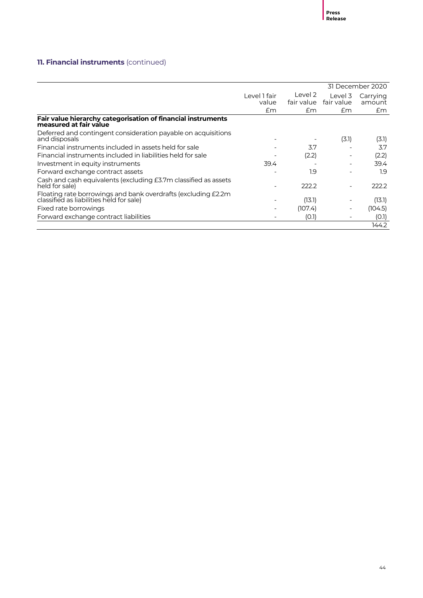# **11. Financial instruments** (continued)

|                                                                                                            |                       |                       |                          | 31 December 2020   |
|------------------------------------------------------------------------------------------------------------|-----------------------|-----------------------|--------------------------|--------------------|
|                                                                                                            | Level 1 fair<br>value | Level 2<br>fair value | Level 3<br>fair value    | Carrying<br>amount |
|                                                                                                            | £m                    | Em                    | £m                       | £m                 |
| Fair value hierarchy categorisation of financial instruments<br>measured at fair value                     |                       |                       |                          |                    |
| Deferred and contingent consideration payable on acquisitions<br>and disposals                             |                       |                       | (3.1)                    | (3.1)              |
| Financial instruments included in assets held for sale                                                     |                       | 3.7                   |                          | 3.7                |
| Financial instruments included in liabilities held for sale                                                |                       | (2.2)                 |                          | (2.2)              |
| Investment in equity instruments                                                                           | 39.4                  |                       | ۰                        | 39.4               |
| Forward exchange contract assets                                                                           |                       | 1.9                   |                          | 1.9                |
| Cash and cash equivalents (excluding £3.7m classified as assets<br>held for sale)                          |                       | 222.2                 | $\qquad \qquad$          | 222.2              |
| Floating rate borrowings and bank overdrafts (excluding £2.2m)<br>classified as liabilities held for sale) | $\overline{a}$        | (13.1)                |                          | (13.1)             |
| Fixed rate borrowings                                                                                      |                       | (107.4)               | $\qquad \qquad$          | (104.5)            |
| Forward exchange contract liabilities                                                                      |                       | (O.1)                 | $\overline{\phantom{a}}$ | (0.1)              |
|                                                                                                            |                       |                       |                          | 144.2              |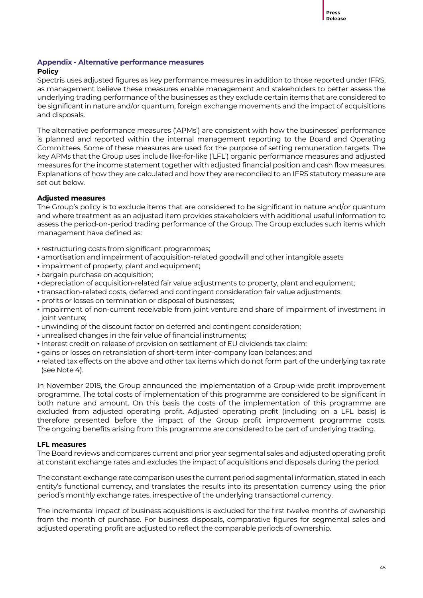#### **Appendix - Alternative performance measures**

#### **Policy**

Spectris uses adjusted figures as key performance measures in addition to those reported under IFRS, as management believe these measures enable management and stakeholders to better assess the underlying trading performance of the businesses as they exclude certain items that are considered to be significant in nature and/or quantum, foreign exchange movements and the impact of acquisitions and disposals.

The alternative performance measures ('APMs') are consistent with how the businesses' performance is planned and reported within the internal management reporting to the Board and Operating Committees. Some of these measures are used for the purpose of setting remuneration targets. The key APMs that the Group uses include like-for-like ('LFL') organic performance measures and adjusted measures for the income statement together with adjusted financial position and cash flow measures. Explanations of how they are calculated and how they are reconciled to an IFRS statutory measure are set out below.

#### **Adjusted measures**

The Group's policy is to exclude items that are considered to be significant in nature and/or quantum and where treatment as an adjusted item provides stakeholders with additional useful information to assess the period-on-period trading performance of the Group. The Group excludes such items which management have defined as:

- restructuring costs from significant programmes;
- amortisation and impairment of acquisition-related goodwill and other intangible assets
- impairment of property, plant and equipment;
- bargain purchase on acquisition;
- depreciation of acquisition-related fair value adjustments to property, plant and equipment;
- transaction-related costs, deferred and contingent consideration fair value adjustments;
- profits or losses on termination or disposal of businesses;
- impairment of non-current receivable from joint venture and share of impairment of investment in joint venture;
- unwinding of the discount factor on deferred and contingent consideration;
- unrealised changes in the fair value of financial instruments;
- Interest credit on release of provision on settlement of EU dividends tax claim;
- gains or losses on retranslation of short-term inter-company loan balances; and
- related tax effects on the above and other tax items which do not form part of the underlying tax rate (see Note 4).

In November 2018, the Group announced the implementation of a Group-wide profit improvement programme. The total costs of implementation of this programme are considered to be significant in both nature and amount. On this basis the costs of the implementation of this programme are excluded from adjusted operating profit. Adjusted operating profit (including on a LFL basis) is therefore presented before the impact of the Group profit improvement programme costs. The ongoing benefits arising from this programme are considered to be part of underlying trading.

#### **LFL measures**

The Board reviews and compares current and prior year segmental sales and adjusted operating profit at constant exchange rates and excludes the impact of acquisitions and disposals during the period.

The constant exchange rate comparison uses the current period segmental information, stated in each entity's functional currency, and translates the results into its presentation currency using the prior period's monthly exchange rates, irrespective of the underlying transactional currency.

The incremental impact of business acquisitions is excluded for the first twelve months of ownership from the month of purchase. For business disposals, comparative figures for segmental sales and adjusted operating profit are adjusted to reflect the comparable periods of ownership.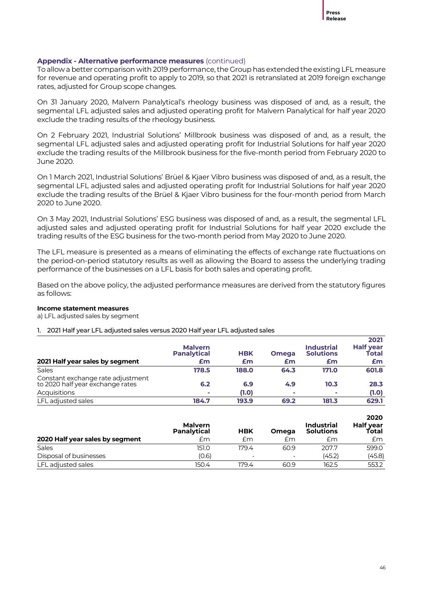To allow a better comparison with 2019 performance, the Group has extended the existing LFL measure for revenue and operating profit to apply to 2019, so that 2021 is retranslated at 2019 foreign exchange rates, adjusted for Group scope changes.

On 31 January 2020, Malvern Panalytical's rheology business was disposed of and, as a result, the segmental LFL adjusted sales and adjusted operating profit for Malvern Panalytical for half year 2020 exclude the trading results of the rheology business.

On 2 February 2021, Industrial Solutions' Millbrook business was disposed of and, as a result, the segmental LFL adjusted sales and adjusted operating profit for Industrial Solutions for half year 2020 exclude the trading results of the Millbrook business for the five-month period from February 2020 to June 2020.

On 1 March 2021, Industrial Solutions' Brüel & Kjaer Vibro business was disposed of and, as a result, the segmental LFL adjusted sales and adjusted operating profit for Industrial Solutions for half year 2020 exclude the trading results of the Brüel & Kjaer Vibro business for the four-month period from March 2020 to June 2020.

On 3 May 2021, Industrial Solutions' ESG business was disposed of and, as a result, the segmental LFL adjusted sales and adjusted operating profit for Industrial Solutions for half year 2020 exclude the trading results of the ESG business for the two-month period from May 2020 to June 2020.

The LFL measure is presented as a means of eliminating the effects of exchange rate fluctuations on the period-on-period statutory results as well as allowing the Board to assess the underlying trading performance of the businesses on a LFL basis for both sales and operating profit.

Based on the above policy, the adjusted performance measures are derived from the statutory figures as follows:

#### **Income statement measures**

a) LFL adjusted sales by segment

#### 1. 2021 Half year LFL adjusted sales versus 2020 Half year LFL adjusted sales

|                                                                       | <b>Malvern</b><br><b>Panalytical</b> | <b>HBK</b> | <b>Omega</b> | <b>Industrial</b><br><b>Solutions</b> | 2021<br><b>Half year</b><br>Total |
|-----------------------------------------------------------------------|--------------------------------------|------------|--------------|---------------------------------------|-----------------------------------|
| 2021 Half year sales by segment                                       | £m                                   | £m         | £m           | £m                                    | £m                                |
| <b>Sales</b>                                                          | 178.5                                | 188.0      | 64.3         | 171.0                                 | 601.8                             |
| Constant exchange rate adjustment<br>to 2020 half year exchange rates | 6.2                                  | 6.9        | 4.9          | 10.3                                  | 28.3                              |
| Acquisitions                                                          |                                      | (1.0)      | $\sim$       | $\mathbf{r}$                          | (1.0)                             |
| LFL adiusted sales                                                    | 184.7                                | 193.9      | 69.2         | 181.3                                 | 629.1                             |

|                                 | <b>Malvern</b><br>Panalytical | <b>HBK</b>               | <b>Omega</b>             | <b>Industrial</b><br><b>Solutions</b> | 2020<br>Half year<br>Total |
|---------------------------------|-------------------------------|--------------------------|--------------------------|---------------------------------------|----------------------------|
| 2020 Half year sales by segment | £m                            | £m                       | £m                       | £m                                    | £m                         |
| <b>Sales</b>                    | 151.0                         | 179.4                    | 60.9                     | 207.7                                 | 599.0                      |
| Disposal of businesses          | (0.6)                         | $\overline{\phantom{a}}$ | $\overline{\phantom{0}}$ | (45.2)                                | (45.8)                     |
| LFL adjusted sales              | 150.4                         | 179.4                    | 60.9                     | 162.5                                 | 553.2                      |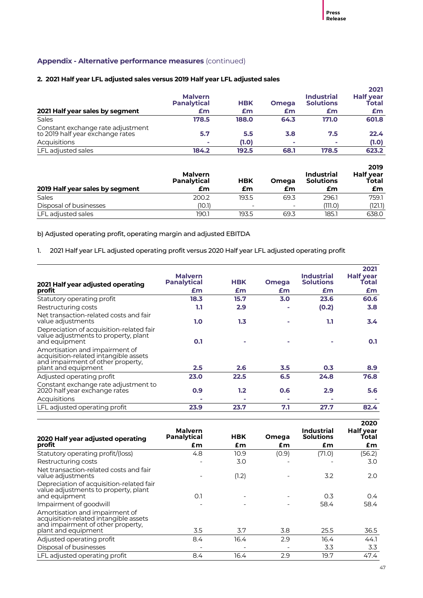#### **2. 2021 Half year LFL adjusted sales versus 2019 Half year LFL adjusted sales**

| 2021 Half year sales by segment                                       | <b>Malvern</b><br><b>Panalytical</b><br>£m | <b>HBK</b><br>£m | <b>Omega</b><br>£m | <b>Industrial</b><br><b>Solutions</b><br>£m | 2021<br><b>Half year</b><br>Total<br>£m |
|-----------------------------------------------------------------------|--------------------------------------------|------------------|--------------------|---------------------------------------------|-----------------------------------------|
| Sales                                                                 | 178.5                                      | 188.0            | 64.3               | 171.0                                       | 601.8                                   |
| Constant exchange rate adjustment<br>to 2019 half year exchange rates | 5.7                                        | 5.5              | 3.8                | 7.5                                         | 22.4                                    |
| Acquisitions                                                          | ×                                          | (1.0)            | ×.                 | ×.                                          | (1.0)                                   |
| LFL adjusted sales                                                    | 184.2                                      | 192.5            | 68.1               | 178.5                                       | 623.2                                   |

|                                 | <b>Malvern</b><br>Panalytical | <b>HBK</b>               | Omega                    | <b>Industrial</b><br><b>Solutions</b> | 2019<br><b>Half year</b><br>Total |
|---------------------------------|-------------------------------|--------------------------|--------------------------|---------------------------------------|-----------------------------------|
| 2019 Half year sales by segment | £m                            | £m                       | £m                       | £m                                    | £m                                |
| Sales                           | 200.2                         | 193.5                    | 69.3                     | 296.1                                 | 759.1                             |
| Disposal of businesses          | (10.1)                        | $\overline{\phantom{0}}$ | $\overline{\phantom{0}}$ | (111.O)                               | (121.1)                           |
| LFL adjusted sales              | 190.1                         | 193.5                    | 69.3                     | 185.1                                 | 638.0                             |

b) Adjusted operating profit, operating margin and adjusted EBITDA

1. 2021 Half year LFL adjusted operating profit versus 2020 Half year LFL adjusted operating profit

|                                      |            |              |                                       | 2021                      |
|--------------------------------------|------------|--------------|---------------------------------------|---------------------------|
| <b>Malvern</b><br><b>Panalytical</b> | <b>HBK</b> | <b>Omega</b> | <b>Industrial</b><br><b>Solutions</b> | <b>Half year</b><br>Total |
| £m                                   | £m         | £m           | £m                                    | £m                        |
| 18.3                                 | 15.7       | 3.0          | 23.6                                  | 60.6                      |
| 1.1                                  | 2.9        |              | (0.2)                                 | 3.8                       |
| 1.0                                  | 1.3        |              | 1.1                                   | 3.4                       |
| 0.1                                  |            |              |                                       | 0.1                       |
| 2.5                                  | 2.6        | 3.5          | 0.3                                   | 8.9                       |
| 23.0                                 | 22.5       | 6.5          | 24.8                                  | 76.8                      |
| 0.9                                  | 1.2        | 0.6          | 2.9                                   | 5.6                       |
|                                      |            |              |                                       |                           |
| 23.9                                 | 23.7       | 7.1          | 27.7                                  | 82.4                      |
|                                      |            |              |                                       |                           |

| 2020 Half year adjusted operating                                                                                                   | <b>Malvern</b><br><b>Panalytical</b> | <b>HBK</b> | Omega | Industrial<br><b>Solutions</b> | 2020<br><b>Half year</b><br>Total |
|-------------------------------------------------------------------------------------------------------------------------------------|--------------------------------------|------------|-------|--------------------------------|-----------------------------------|
| profit                                                                                                                              | £m                                   | £m         | £m    | £m                             | £m                                |
| Statutory operating profit/(loss)                                                                                                   | 4.8                                  | 10.9       | (0.9) | (71.0)                         | (56.2)                            |
| Restructuring costs                                                                                                                 |                                      | 3.0        |       |                                | 3.0                               |
| Net transaction-related costs and fair<br>value adjustments                                                                         |                                      | (1.2)      |       | 3.2                            | 2.0                               |
| Depreciation of acquisition-related fair<br>value adjustments to property, plant<br>and equipment                                   | O.1                                  |            |       | 0.3                            | $0.4^{\circ}$                     |
| Impairment of goodwill                                                                                                              |                                      |            |       | 58.4                           | 58.4                              |
| Amortisation and impairment of<br>acquisition-related intangible assets<br>and impairment of other property.<br>plant and equipment | 3.5                                  | 3.7        | 3.8   | 25.5                           | 36.5                              |
| Adjusted operating profit                                                                                                           | 8.4                                  | 16.4       | 2.9   | 16.4                           | 44.1                              |
| Disposal of businesses                                                                                                              |                                      |            |       | 3.3                            | 3.3                               |
| LFL adjusted operating profit                                                                                                       | 8.4                                  | 16.4       | 2.9   | 19.7                           | 47.4                              |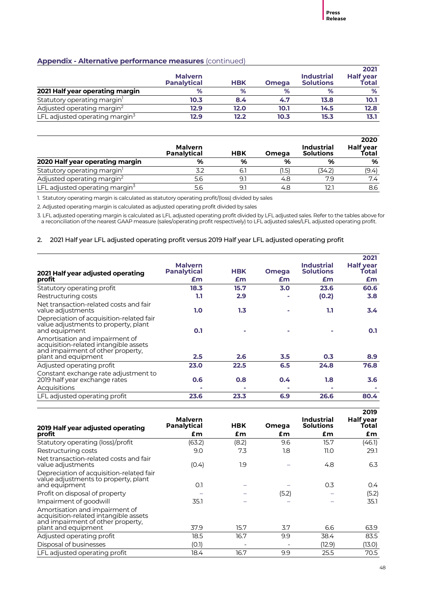|                                            | <b>Malvern</b><br><b>Panalytical</b> | <b>HBK</b> | <b>Omega</b> | <b>Industrial</b><br><b>Solutions</b> | 2021<br><b>Half year</b><br>Total |
|--------------------------------------------|--------------------------------------|------------|--------------|---------------------------------------|-----------------------------------|
| 2021 Half year operating margin            | %                                    | %          | %            | %                                     | %                                 |
| Statutory operating margin <sup>1</sup>    | 10.3                                 | 8.4        | 4.7          | 13.8                                  | 10.1                              |
| Adjusted operating margin <sup>2</sup>     | 12.9                                 | 12.0       | 10.1         | 14.5                                  | 12.8                              |
| LFL adjusted operating margin <sup>3</sup> | 12.9                                 | 12.2       | 10.3         | 15.3                                  | 13.1                              |

|                                         | <b>Malvern</b><br><b>Panalytical</b> | <b>HBK</b> | Omega | <b>Industrial</b><br><b>Solutions</b> | 2020<br>Half year<br>Total |
|-----------------------------------------|--------------------------------------|------------|-------|---------------------------------------|----------------------------|
| 2020 Half year operating margin         | %                                    | %          | %     | %                                     | %                          |
| Statutory operating margin <sup>1</sup> |                                      | 6.         | (1.5) | (34.2)                                | (9.4)                      |
| Adjusted operating margin <sup>2</sup>  | 5.6                                  | 9.         | 4.8   | 7.9                                   | 7.4                        |
| LFL adjusted operating margin $3$       | 5.6                                  | 9.         | 4.8   |                                       | 8.6                        |

1. Statutory operating margin is calculated as statutory operating profit/(loss) divided by sales

2. Adjusted operating margin is calculated as adjusted operating profit divided by sales

3. LFL adjusted operating margin is calculated as LFL adjusted operating profit divided by LFL adjusted sales. Refer to the tables above for a reconciliation of the nearest GAAP measure (sales/operating profit respectively) to LFL adjusted sales/LFL adjusted operating profit.

#### 2. 2021 Half year LFL adjusted operating profit versus 2019 Half year LFL adjusted operating profit

|                                                                                                                                     |                                      |            |              |                                       | 2021                      |
|-------------------------------------------------------------------------------------------------------------------------------------|--------------------------------------|------------|--------------|---------------------------------------|---------------------------|
| 2021 Half year adjusted operating                                                                                                   | <b>Malvern</b><br><b>Panalytical</b> | <b>HBK</b> | <b>Omega</b> | <b>Industrial</b><br><b>Solutions</b> | <b>Half year</b><br>Total |
| profit                                                                                                                              | £m                                   | £m         | £m           | £m                                    | £m                        |
| Statutory operating profit                                                                                                          | 18.3                                 | 15.7       | 3.0          | 23.6                                  | 60.6                      |
| Restructuring costs                                                                                                                 | 1.1                                  | 2.9        |              | (0.2)                                 | 3.8                       |
| Net transaction-related costs and fair<br>value adjustments                                                                         | 1.0                                  | 1.3        |              | 1.1                                   | $3.4^{\circ}$             |
| Depreciation of acquisition-related fair<br>value adjustments to property, plant<br>and equipment                                   | 0.1                                  |            |              |                                       | 0.1                       |
| Amortisation and impairment of<br>acquisition-related intangible assets<br>and impairment of other property,<br>plant and equipment | 2.5                                  | 2.6        | 3.5          | 0.3                                   | 8.9                       |
| Adjusted operating profit                                                                                                           | 23.0                                 | 22.5       | 6.5          | 24.8                                  | 76.8                      |
| Constant exchange rate adjustment to<br>2019 half year exchange rates                                                               | 0.6                                  | 0.8        | 0.4          | 1.8                                   | 3.6                       |
| Acquisitions                                                                                                                        |                                      |            |              | ۰                                     |                           |
| LFL adjusted operating profit                                                                                                       | 23.6                                 | 23.3       | 6.9          | 26.6                                  | 80.4                      |

|                                                                                                              | <b>Malvern</b>     |            |       | Industrial       | 2019<br><b>Half year</b> |
|--------------------------------------------------------------------------------------------------------------|--------------------|------------|-------|------------------|--------------------------|
| 2019 Half year adjusted operating                                                                            | <b>Panalytical</b> | <b>HBK</b> | Omega | <b>Solutions</b> | Total                    |
| profit                                                                                                       | £m                 | £m         | £m    | £m               | £m                       |
| Statutory operating (loss)/profit                                                                            | (63.2)             | (8.2)      | 9.6   | 15.7             | (46.1)                   |
| Restructuring costs                                                                                          | 9.0                | 7.3        | 1.8   | 11.0             | 29.1                     |
| Net transaction-related costs and fair<br>value adjustments                                                  | (0.4)              | 1.9        |       | 4.8              | 6.3                      |
| Depreciation of acquisition-related fair<br>value adjustments to property, plant<br>and equipment            | 0.1                |            |       | 0.3              | 0.4                      |
| Profit on disposal of property                                                                               |                    |            | (5.2) |                  | (5.2)                    |
| Impairment of goodwill                                                                                       | 35.1               |            |       |                  | 35.1                     |
| Amortisation and impairment of<br>acquisition-related intangible assets<br>and impairment of other property. |                    |            |       |                  |                          |
| plant and equipment                                                                                          | 37.9               | 15.7       | 3.7   | 6.6              | 63.9                     |
| Adjusted operating profit                                                                                    | 18.5               | 16.7       | 9.9   | 38.4             | 83.5                     |
| Disposal of businesses                                                                                       | (O.1)              |            |       | (12.9)           | (13.0)                   |
| LFL adjusted operating profit                                                                                | 18.4               | 16.7       | 9.9   | 25.5             | 70.5                     |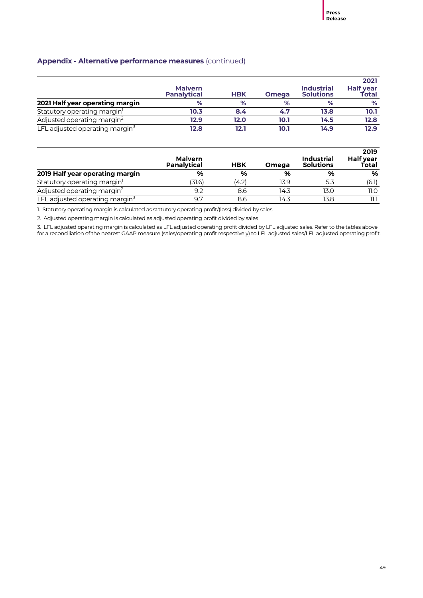|                                         | <b>Malvern</b><br><b>Panalytical</b> | <b>HBK</b> | <b>Omega</b> | <b>Industrial</b><br><b>Solutions</b> | 2021<br>Half year<br>Total |
|-----------------------------------------|--------------------------------------|------------|--------------|---------------------------------------|----------------------------|
| 2021 Half year operating margin         | %                                    | %          | %            | %                                     | %                          |
| Statutory operating margin <sup>1</sup> | 10.3                                 | 8.4        | 4.7          | 13.8                                  | 10.1                       |
| Adjusted operating margin <sup>2</sup>  | 12.9                                 | 12.0       | 10.1         | 14.5                                  | 12.8                       |
| LFL adjusted operating margin $3$       | 12.8                                 | 12.1       | 10.1         | 14.9                                  | 12.9                       |

|                                         | <b>Malvern</b><br><b>Panalytical</b> | <b>HBK</b> | Omega | <b>Industrial</b><br><b>Solutions</b> | 2019<br>Half year<br>Total |
|-----------------------------------------|--------------------------------------|------------|-------|---------------------------------------|----------------------------|
| 2019 Half year operating margin         | %                                    | %          | %     | %                                     | %                          |
| Statutory operating margin <sup>1</sup> | 31.6)                                | (4.2)      | 13.9  | 5.3                                   | (6.1)                      |
| Adjusted operating margin <sup>2</sup>  | 9.2                                  | 8.6        | 14.3  | 13.0                                  | 11.O                       |
| LFL adjusted operating margin $3$       | 9.7                                  | 8.6        | 14.3  | 13.8                                  |                            |

1. Statutory operating margin is calculated as statutory operating profit/(loss) divided by sales

2. Adjusted operating margin is calculated as adjusted operating profit divided by sales

3. LFL adjusted operating margin is calculated as LFL adjusted operating profit divided by LFL adjusted sales. Refer to the tables above for a reconciliation of the nearest GAAP measure (sales/operating profit respectively) to LFL adjusted sales/LFL adjusted operating profit.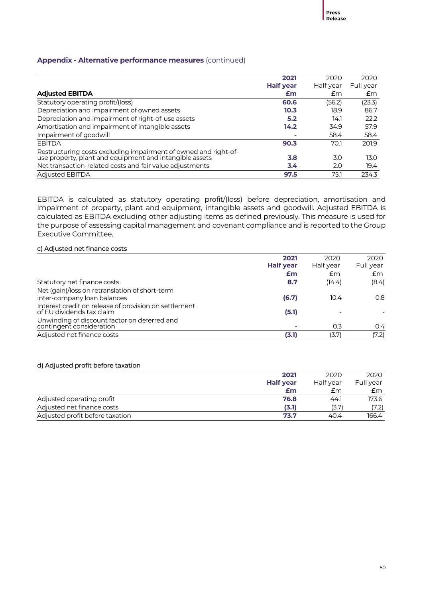|                                                                                                                            | 2021             | 2020      | 2020      |
|----------------------------------------------------------------------------------------------------------------------------|------------------|-----------|-----------|
|                                                                                                                            | <b>Half year</b> | Half year | Full year |
| <b>Adjusted EBITDA</b>                                                                                                     | £m               | £m        | Em        |
| Statutory operating profit/(loss)                                                                                          | 60.6             | (56.2)    | (23.3)    |
| Depreciation and impairment of owned assets                                                                                | 10.3             | 18.9      | 86.7      |
| Depreciation and impairment of right-of-use assets                                                                         | 5.2              | 14.1      | 22.2      |
| Amortisation and impairment of intangible assets                                                                           | 14.2             | 34.9      | 57.9      |
| Impairment of goodwill                                                                                                     |                  | 58.4      | 58.4      |
| <b>EBITDA</b>                                                                                                              | 90.3             | 70.1      | 201.9     |
| Restructuring costs excluding impairment of owned and right-of-<br>use property, plant and equipment and intangible assets | 3.8              | 3.0       | 13.0      |
| Net transaction-related costs and fair value adjustments                                                                   | 3.4              | 2.0       | 19.4      |
| <b>Adjusted EBITDA</b>                                                                                                     | 97.5             | 75.1      | 234.3     |

EBITDA is calculated as statutory operating profit/(loss) before depreciation, amortisation and impairment of property, plant and equipment, intangible assets and goodwill. Adjusted EBITDA is calculated as EBITDA excluding other adjusting items as defined previously. This measure is used for the purpose of assessing capital management and covenant compliance and is reported to the Group Executive Committee.

#### c) Adjusted net finance costs

|                                                                                    | 2021             | 2020      | 2020      |
|------------------------------------------------------------------------------------|------------------|-----------|-----------|
|                                                                                    | <b>Half year</b> | Half year | Full year |
|                                                                                    | £m               | £m        | £m        |
| Statutory net finance costs                                                        | 8.7              | (14.4)    | (8.4)     |
| Net (gain)/loss on retranslation of short-term                                     |                  |           |           |
| inter-company loan balances                                                        | (6.7)            | 10.4      | 0.8       |
| Interest credit on release of provision on settlement<br>of EU dividends tax claim | (5.1)            |           |           |
| Unwinding of discount factor on deferred and<br>contingent consideration           |                  | 0.3       | 0.4       |
| Adjusted net finance costs                                                         | (3.1)            | (3.7)     | (7.2)     |

#### d) Adjusted profit before taxation

|                                 | 2021             | 2020      | 2020      |
|---------------------------------|------------------|-----------|-----------|
|                                 | <b>Half year</b> | Half year | Full year |
|                                 | £m               | £m        | £m        |
| Adjusted operating profit       | 76.8             | 44.1      | 173.6     |
| Adjusted net finance costs      | (3.1)            | (3.7)     | (7.2)     |
| Adjusted profit before taxation | 73.7             | 40.4      | 166.4     |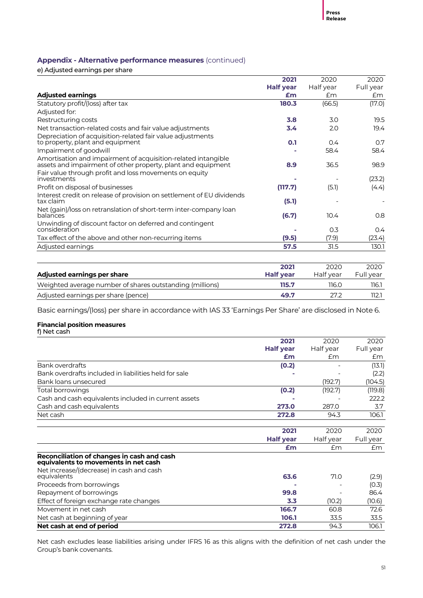e) Adjusted earnings per share

|                                                                                                                               | 2021             | 2020      | 2020      |
|-------------------------------------------------------------------------------------------------------------------------------|------------------|-----------|-----------|
|                                                                                                                               | <b>Half year</b> | Half year | Full year |
| <b>Adjusted earnings</b>                                                                                                      | £m               | Em        | £m        |
| Statutory profit/(loss) after tax                                                                                             | 180.3            | (66.5)    | (17.0)    |
| Adjusted for:                                                                                                                 |                  |           |           |
| Restructuring costs                                                                                                           | 3.8              | 3.0       | 19.5      |
| Net transaction-related costs and fair value adjustments                                                                      | 3.4              | 2.0       | 19.4      |
| Depreciation of acquisition-related fair value adjustments<br>to property, plant and equipment                                | 0.1              | 0.4       | 0.7       |
| Impairment of goodwill                                                                                                        |                  | 58.4      | 58.4      |
| Amortisation and impairment of acquisition-related intangible<br>assets and impairment of other property, plant and equipment | 8.9              | 36.5      | 98.9      |
| Fair value through profit and loss movements on equity<br>investments                                                         |                  |           | (23.2)    |
| Profit on disposal of businesses                                                                                              | (117.7)          | (5.1)     | (4.4)     |
| Interest credit on release of provision on settlement of EU dividends<br>tax claim                                            | (5.1)            |           |           |
| Net (gain)/loss on retranslation of short-term inter-company loan<br>balances                                                 | (6.7)            | 10.4      | 0.8       |
| Unwinding of discount factor on deferred and contingent<br>consideration                                                      |                  | 0.3       | 0.4       |
| Tax effect of the above and other non-recurring items                                                                         | (9.5)            | (7.9)     | (23.4)    |
| Adjusted earnings                                                                                                             | 57.5             | 31.5      | 130.1     |
|                                                                                                                               |                  |           |           |

|                                                          | 2021             | 2020      | 2020      |
|----------------------------------------------------------|------------------|-----------|-----------|
| Adjusted earnings per share                              | <b>Half vear</b> | Half vear | Full vear |
| Weighted average number of shares outstanding (millions) | 115.7            | 116.0     | 116.1     |
| Adjusted earnings per share (pence)                      | 49.7             | 27.2      | 112.1     |

Basic earnings/(loss) per share in accordance with IAS 33 'Earnings Per Share' are disclosed in Note 6.

#### **Financial position measures**

f) Net cash

|                                                                                    | 2021             | 2020      | 2020      |
|------------------------------------------------------------------------------------|------------------|-----------|-----------|
|                                                                                    | <b>Half year</b> | Half year | Full year |
|                                                                                    | £m               | Em        | £m        |
| Bank overdrafts                                                                    | (0.2)            |           | (13.1)    |
| Bank overdrafts included in liabilities held for sale                              |                  |           | (2.2)     |
| Bank loans unsecured                                                               |                  | (192.7)   | (104.5)   |
| Total borrowings                                                                   | (0.2)            | (192.7)   | (119.8)   |
| Cash and cash equivalents included in current assets                               |                  |           | 222.2     |
| Cash and cash equivalents                                                          | 273.0            | 287.0     | 3.7       |
| Net cash                                                                           | 272.8            | 94.3      | 106.1     |
|                                                                                    |                  |           |           |
|                                                                                    | 2021             | 2020      | 2020      |
|                                                                                    | <b>Half year</b> | Half year | Full year |
|                                                                                    | £m               | Em        | £m        |
| Reconciliation of changes in cash and cash<br>equivalents to movements in net cash |                  |           |           |
| Net increase/(decrease) in cash and cash                                           |                  |           |           |
| equivalents                                                                        | 63.6             | 71.0      | (2.9)     |
| Proceeds from borrowings                                                           |                  |           | (O.3)     |
| Repayment of borrowings                                                            | 99.8             |           | 86.4      |
| Effect of foreign exchange rate changes                                            | 3.3              | (10.2)    | (10.6)    |
| Movement in net cash                                                               | 166.7            | 60.8      | 72.6      |
| Net cash at beginning of year                                                      | 106.1            | 33.5      | 33.5      |
| Net cash at end of period                                                          | 272.8            | 94.3      | 106.1     |

Net cash excludes lease liabilities arising under IFRS 16 as this aligns with the definition of net cash under the Group's bank covenants.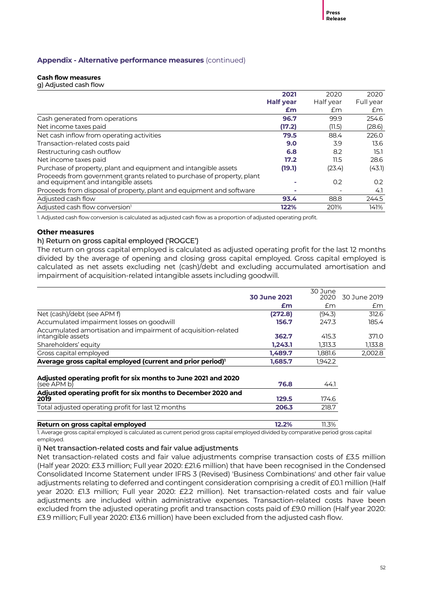#### **Cash flow measures**

g) Adjusted cash flow

|                                                                                                               | 2021             | 2020      | 2020      |
|---------------------------------------------------------------------------------------------------------------|------------------|-----------|-----------|
|                                                                                                               | <b>Half year</b> | Half year | Full year |
|                                                                                                               | £m               | £m        | £m        |
| Cash generated from operations                                                                                | 96.7             | 99.9      | 254.6     |
| Net income taxes paid                                                                                         | (17.2)           | (11.5)    | (28.6)    |
| Net cash inflow from operating activities                                                                     | 79.5             | 88.4      | 226.0     |
| Transaction-related costs paid                                                                                | 9.0              | 3.9       | 13.6      |
| Restructuring cash outflow                                                                                    | 6.8              | 8.2       | 15.1      |
| Net income taxes paid                                                                                         | 17.2             | 11.5      | 28.6      |
| Purchase of property, plant and equipment and intangible assets                                               | (19.1)           | (23.4)    | (43.1)    |
| Proceeds from government grants related to purchase of property, plant<br>and equipment and intangible assets |                  | 0.2       | 0.2       |
| Proceeds from disposal of property, plant and equipment and software                                          |                  |           | 4.1       |
| Adjusted cash flow                                                                                            | 93.4             | 88.8      | 244.5     |
| Adjusted cash flow conversion <sup>1</sup>                                                                    | 122%             | 201%      | 141%      |

1. Adjusted cash flow conversion is calculated as adjusted cash flow as a proportion of adjusted operating profit.

#### **Other measures**

#### h) Return on gross capital employed ('ROGCE')

The return on gross capital employed is calculated as adjusted operating profit for the last 12 months divided by the average of opening and closing gross capital employed. Gross capital employed is calculated as net assets excluding net (cash)/debt and excluding accumulated amortisation and impairment of acquisition-related intangible assets including goodwill.

|                                                                                     |                     | 30 June |              |
|-------------------------------------------------------------------------------------|---------------------|---------|--------------|
|                                                                                     | <b>30 June 2021</b> | 2020    | 30 June 2019 |
|                                                                                     | £m                  | £m      | £m           |
| Net (cash)/debt (see APM f)                                                         | (272.8)             | (94.3)  | 312.6        |
| Accumulated impairment losses on goodwill                                           | 156.7               | 247.3   | 185.4        |
| Accumulated amortisation and impairment of acquisition-related<br>intangible assets | 362.7               | 415.3   | 371.0        |
| Shareholders' equity                                                                | 1,243.1             | 1,313.3 | 1,133.8      |
| Gross capital employed                                                              | 1,489.7             | 1,881.6 | 2,002.8      |
| Average gross capital employed (current and prior period) <sup>1</sup>              | 1,685.7             | 1,942.2 |              |
| Adjusted operating profit for six months to June 2021 and 2020<br>(see APM b)       | 76.8                | 44.1    |              |
| Adjusted operating profit for six months to December 2020 and<br>2019               | 129.5               | 174.6   |              |
| Total adjusted operating profit for last 12 months                                  | 206.3               | 218.7   |              |
| Return on gross capital employed                                                    | 12.2%               | 11.3%   |              |

1. Average gross capital employed is calculated as current period gross capital employed divided by comparative period gross capital employed.

i) Net transaction-related costs and fair value adjustments

Net transaction-related costs and fair value adjustments comprise transaction costs of £3.5 million (Half year 2020: £3.3 million; Full year 2020: £21.6 million) that have been recognised in the Condensed Consolidated Income Statement under IFRS 3 (Revised) 'Business Combinations' and other fair value adjustments relating to deferred and contingent consideration comprising a credit of £0.1 million (Half year 2020: £1.3 million; Full year 2020: £2.2 million). Net transaction-related costs and fair value adjustments are included within administrative expenses. Transaction-related costs have been excluded from the adjusted operating profit and transaction costs paid of £9.0 million (Half year 2020: £3.9 million; Full year 2020: £13.6 million) have been excluded from the adjusted cash flow.